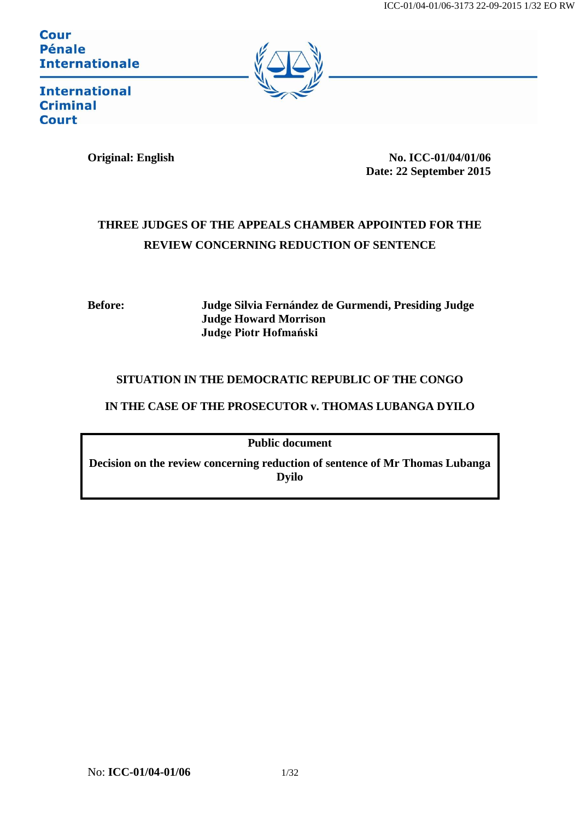**Cour** Pénale **Internationale** 



**International Criminal Court** 

**Original: English No. ICC-01/04/01/06 Date: 22 September 2015**

# **THREE JUDGES OF THE APPEALS CHAMBER APPOINTED FOR THE REVIEW CONCERNING REDUCTION OF SENTENCE**

**Before: Judge Silvia Fernández de Gurmendi, Presiding Judge Judge Howard Morrison Judge Piotr Hofmański**

# **SITUATION IN THE DEMOCRATIC REPUBLIC OF THE CONGO**

# **IN THE CASE OF THE PROSECUTOR v. THOMAS LUBANGA DYILO**

**Public document**

**Decision on the review concerning reduction of sentence of Mr Thomas Lubanga Dyilo**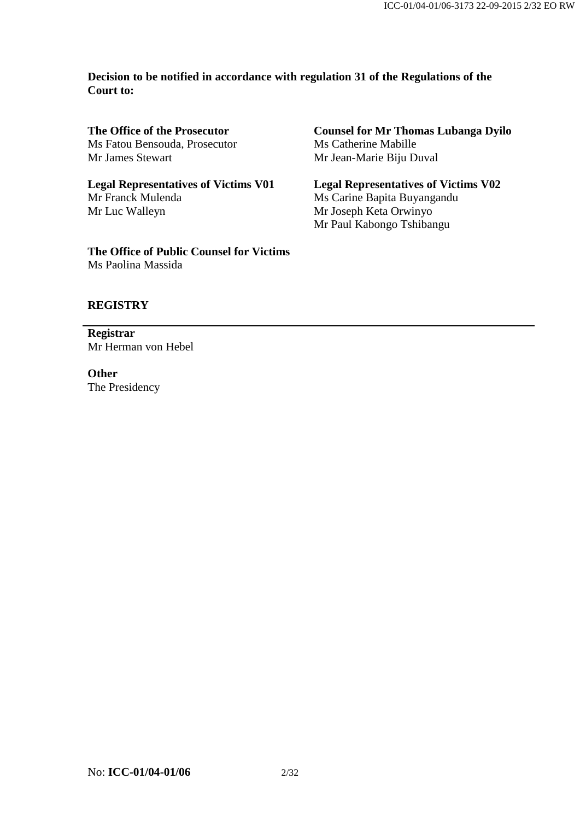**Decision to be notified in accordance with regulation 31 of the Regulations of the Court to:**

**The Office of the Prosecutor** Ms Fatou Bensouda, Prosecutor Mr James Stewart

**Legal Representatives of Victims V01** Mr Franck Mulenda Mr Luc Walleyn

**The Office of Public Counsel for Victims** Ms Paolina Massida

**Counsel for Mr Thomas Lubanga Dyilo** Ms Catherine Mabille Mr Jean-Marie Biju Duval

**Legal Representatives of Victims V02** Ms Carine Bapita Buyangandu Mr Joseph Keta Orwinyo Mr Paul Kabongo Tshibangu

### **REGISTRY**

**Registrar** Mr Herman von Hebel

**Other** The Presidency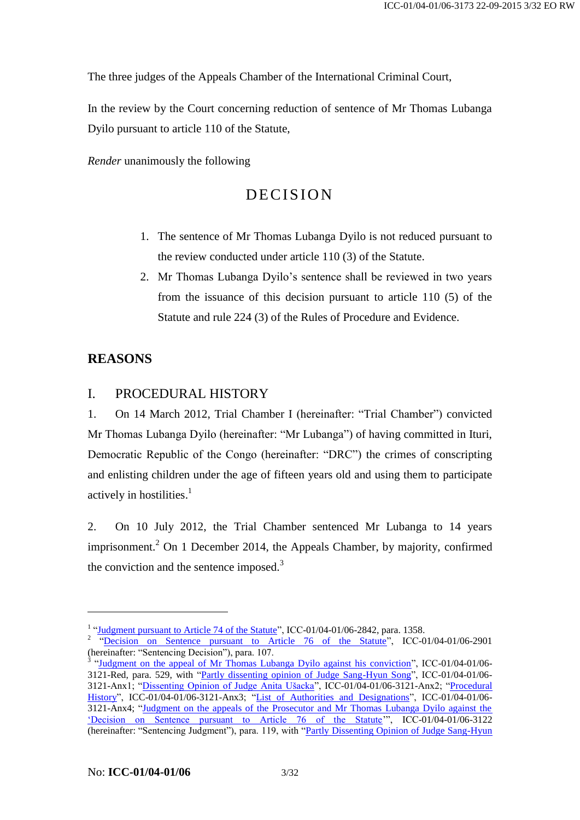The three judges of the Appeals Chamber of the International Criminal Court,

In the review by the Court concerning reduction of sentence of Mr Thomas Lubanga Dyilo pursuant to article 110 of the Statute,

*Render* unanimously the following

# DECISION

- 1. The sentence of Mr Thomas Lubanga Dyilo is not reduced pursuant to the review conducted under article 110 (3) of the Statute.
- 2. Mr Thomas Lubanga Dyilo's sentence shall be reviewed in two years from the issuance of this decision pursuant to article 110 (5) of the Statute and rule 224 (3) of the Rules of Procedure and Evidence.

# **REASONS**

1

# I. PROCEDURAL HISTORY

1. On 14 March 2012, Trial Chamber I (hereinafter: "Trial Chamber") convicted Mr Thomas Lubanga Dyilo (hereinafter: "Mr Lubanga") of having committed in Ituri, Democratic Republic of the Congo (hereinafter: "DRC") the crimes of conscripting and enlisting children under the age of fifteen years old and using them to participate actively in hostilities. 1

<span id="page-2-0"></span>2. On 10 July 2012, the Trial Chamber sentenced Mr Lubanga to 14 years imprisonment.<sup>2</sup> On 1 December 2014, the Appeals Chamber, by majority, confirmed the conviction and the sentence imposed. $3$ 

<sup>&</sup>lt;sup>1</sup> ["Judgment pursuant to Article 74 of the Statute"](http://www.legal-tools.org/doc/677866/), ICC-01/04-01/06-2842, para. 1358.

<sup>&</sup>lt;sup>2</sup> ["Decision on Sentence pursuant to Article 76 of the Statute"](https://www.legal-tools.org/doc/c79996/), ICC-01/04-01/06-2901 (hereinafter: "Sentencing Decision"), para. 107.<br><sup>3</sup> ["Judgment on the appeal of Mr Thomas Lubanga Dyilo against his conviction"](http://www.legal-tools.org/doc/585c75/), ICC-01/04-01/06-

<sup>3121-</sup>Red, para. 529, with ["Partly dissenting opinion of Judge Sang-Hyun Song"](http://www.legal-tools.org/doc/3ee234/), ICC-01/04-01/06- 3121-Anx1; ["Dissenting Opinion of Judge Anita Ušacka"](http://www.legal-tools.org/doc/282f93/), ICC-01/04-01/06-3121-Anx2; ["Procedural](http://www.legal-tools.org/doc/c3fe85/)  [History"](http://www.legal-tools.org/doc/c3fe85/), ICC-01/04-01/06-3121-Anx3; ["List of Authorities and Designations"](http://www.legal-tools.org/doc/1147bf/), ICC-01/04-01/06-3121-Anx4; ["Judgment on the appeals of the Prosecutor and Mr Thomas Lubanga Dyilo against the](http://www.legal-tools.org/doc/a9bd07/)  ['Decision on Sentence pursuant to Article 76 of the Statute'](http://www.legal-tools.org/doc/a9bd07/)", ICC-01/04-01/06-3122 (hereinafter: "Sentencing Judgment"), para. 119, with ["Partly Dissenting Opinion of Judge Sang-Hyun](http://www.legal-tools.org/doc/59352c/)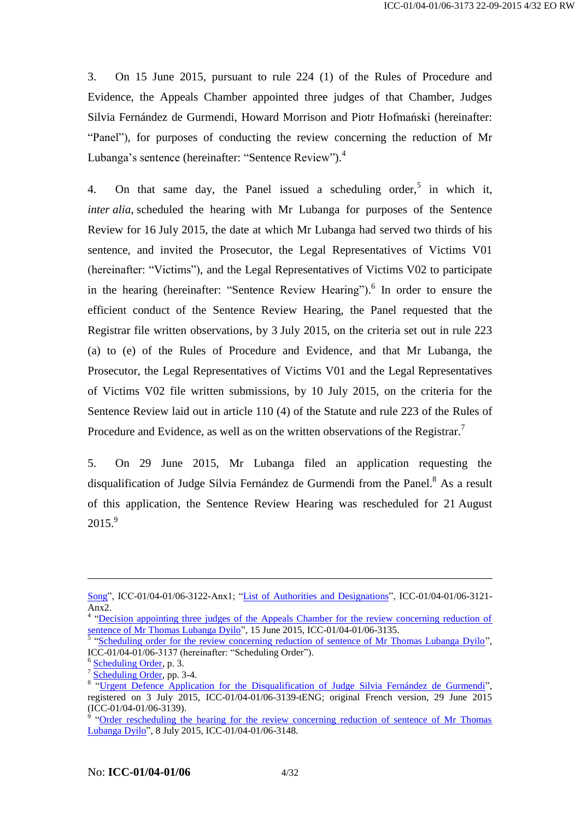3. On 15 June 2015, pursuant to rule 224 (1) of the Rules of Procedure and Evidence, the Appeals Chamber appointed three judges of that Chamber, Judges Silvia Fernández de Gurmendi, Howard Morrison and Piotr Hofmański (hereinafter: "Panel"), for purposes of conducting the review concerning the reduction of Mr Lubanga's sentence (hereinafter: "Sentence Review").<sup>4</sup>

4. On that same day, the Panel issued a scheduling order,<sup>5</sup> in which it, *inter alia*, scheduled the hearing with Mr Lubanga for purposes of the Sentence Review for 16 July 2015, the date at which Mr Lubanga had served two thirds of his sentence, and invited the Prosecutor, the Legal Representatives of Victims V01 (hereinafter: "Victims"), and the Legal Representatives of Victims V02 to participate in the hearing (hereinafter: "Sentence Review Hearing").<sup>6</sup> In order to ensure the efficient conduct of the Sentence Review Hearing, the Panel requested that the Registrar file written observations, by 3 July 2015, on the criteria set out in rule 223 (a) to (e) of the Rules of Procedure and Evidence, and that Mr Lubanga, the Prosecutor, the Legal Representatives of Victims V01 and the Legal Representatives of Victims V02 file written submissions, by 10 July 2015, on the criteria for the Sentence Review laid out in article 110 (4) of the Statute and rule 223 of the Rules of Procedure and Evidence, as well as on the written observations of the Registrar.<sup>7</sup>

5. On 29 June 2015, Mr Lubanga filed an application requesting the disqualification of Judge Silvia Fernández de Gurmendi from the Panel.<sup>8</sup> As a result of this application, the Sentence Review Hearing was rescheduled for 21 August  $2015.<sup>9</sup>$ 

[Song"](http://www.legal-tools.org/doc/59352c/), ICC-01/04-01/06-3122-Anx1; ["List of Authorities and Designations"](http://www.legal-tools.org/doc/bfafd2/), ICC-01/04-01/06-3121- Anx2.

<sup>&</sup>lt;sup>4</sup> "Decision appointing three judges of the Appeals Chamber for the review concerning reduction of [sentence of Mr Thomas Lubanga Dyilo"](http://www.legal-tools.org/doc/4d085e/), 15 June 2015, ICC-01/04-01/06-3135.<br><sup>5</sup> ["Scheduling order for the review concerning reduction of sentence of Mr Thomas Lubanga Dyilo"](http://www.legal-tools.org/doc/a8c1d5/),

ICC-01/04-01/06-3137 (hereinafter: "Scheduling Order").

<sup>&</sup>lt;sup>6</sup> [Scheduling Order,](http://www.legal-tools.org/doc/a8c1d5/) p. 3.

<sup>&</sup>lt;sup>7</sup> [Scheduling Order,](http://www.legal-tools.org/doc/a8c1d5/) pp. 3-4.

<sup>&</sup>lt;sup>8</sup> ["Urgent Defence Application for the Disqualification of Judge Silvia Fernández de Gurmendi"](http://www.legal-tools.org/doc/d7d438/), registered on 3 July 2015, ICC-01/04-01/06-3139-tENG; original French version, 29 June 2015 (ICC-01/04-01/06-3139).

<sup>&</sup>lt;sup>9</sup> "Order rescheduling the hearing for the review concerning reduction of sentence of Mr Thomas [Lubanga Dyilo"](http://www.legal-tools.org/doc/3617c4/), 8 July 2015, ICC-01/04-01/06-3148.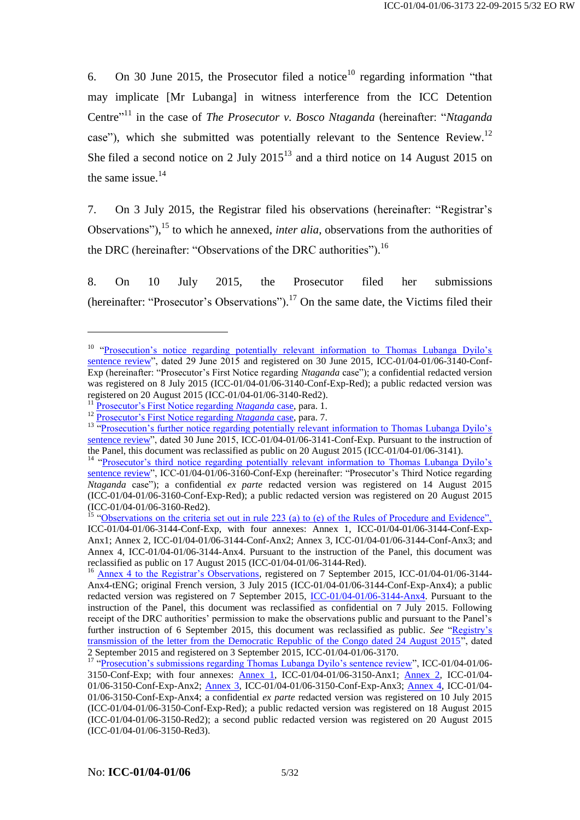6. On 30 June 2015, the Prosecutor filed a notice<sup>10</sup> regarding information "that may implicate [Mr Lubanga] in witness interference from the ICC Detention Centre<sup>"11</sup> in the case of *The Prosecutor v. Bosco Ntaganda* (hereinafter: "*Ntaganda* case"), which she submitted was potentially relevant to the Sentence Review.<sup>12</sup> She filed a second notice on 2 July  $2015^{13}$  and a third notice on 14 August 2015 on the same issue.<sup>14</sup>

7. On 3 July 2015, the Registrar filed his observations (hereinafter: "Registrar's Observations"),<sup>15</sup> to which he annexed, *inter alia*, observations from the authorities of the DRC (hereinafter: "Observations of the DRC authorities").<sup>16</sup>

8. On 10 July 2015, the Prosecutor filed her submissions (hereinafter: "Prosecutor's Observations").<sup>17</sup> On the same date, the Victims filed their

<sup>&</sup>lt;sup>10</sup> "Prosecution's notice regarding potentially relevant information to Thomas Lubanga Dyilo's [sentence review"](http://www.legal-tools.org/doc/b4bcf6/), dated 29 June 2015 and registered on 30 June 2015, ICC-01/04-01/06-3140-Conf-Exp (hereinafter: "Prosecutor's First Notice regarding *Ntaganda* case"); a confidential redacted version was registered on 8 July 2015 (ICC-01/04-01/06-3140-Conf-Exp-Red); a public redacted version was registered on 20 August 2015 (ICC-01/04-01/06-3140-Red2).

<sup>11</sup> [Prosecutor's First Notice regarding](http://www.legal-tools.org/doc/b4bcf6/) *Ntaganda* case, para. 1.

<sup>12</sup> [Prosecutor's First Notice regarding](http://www.legal-tools.org/doc/b4bcf6/) *Ntaganda* case, para. 7.

<sup>&</sup>lt;sup>13</sup> "Prosecution's further notice regarding potentially relevant information to Thomas Lubanga Dyilo's [sentence review"](http://www.legal-tools.org/doc/ff5d98/), dated 30 June 2015, ICC-01/04-01/06-3141-Conf-Exp. Pursuant to the instruction of the Panel, this document was reclassified as public on 20 August 2015 (ICC-01/04-01/06-3141).

<sup>&</sup>lt;sup>14</sup> "Prosecutor's third notice regarding potentially relevant information to Thomas Lubanga Dyilo's [sentence review"](http://www.legal-tools.org/doc/00d240/), ICC-01/04-01/06-3160-Conf-Exp (hereinafter: "Prosecutor's Third Notice regarding *Ntaganda* case"); a confidential *ex parte* redacted version was registered on 14 August 2015 (ICC-01/04-01/06-3160-Conf-Exp-Red); a public redacted version was registered on 20 August 2015 (ICC-01/04-01/06-3160-Red2).

<sup>&</sup>lt;sup>15</sup> ["Observations on the criteria set out in rule 223 \(a\) to \(e\) of the Rules of Procedure and Evidence",](http://www.legal-tools.org/doc/833c21/) ICC-01/04-01/06-3144-Conf-Exp, with four annexes: Annex 1, ICC-01/04-01/06-3144-Conf-Exp-Anx1; Annex 2, ICC-01/04-01/06-3144-Conf-Anx2; Annex 3, ICC-01/04-01/06-3144-Conf-Anx3; and Annex 4, ICC-01/04-01/06-3144-Anx4. Pursuant to the instruction of the Panel, this document was reclassified as public on 17 August 2015 (ICC-01/04-01/06-3144-Red).

<sup>&</sup>lt;sup>16</sup> [Annex 4 to the Registrar's Observations,](http://www.legal-tools.org/doc/f31958/) registered on 7 September 2015, ICC-01/04-01/06-3144-Anx4-tENG; original French version, 3 July 2015 (ICC-01/04-01/06-3144-Conf-Exp-Anx4); a public redacted version was registered on 7 September 2015, [ICC-01/04-01/06-3144-Anx4.](http://www.legal-tools.org/doc/99f5b4/) Pursuant to the instruction of the Panel, this document was reclassified as confidential on 7 July 2015. Following receipt of the DRC authorities' permission to make the observations public and pursuant to the Panel's further instruction of 6 September 2015, this document was reclassified as public. *See* ["Registry's](https://www.legal-tools.org/doc/279dfc/)  [transmission of the letter from the Democratic Republic of the Congo dated 24 August 2015"](https://www.legal-tools.org/doc/279dfc/), dated 2 September 2015 and registered on 3 September 2015, ICC-01/04-01/06-3170.

<sup>&</sup>lt;sup>17</sup> ["Prosecution's submissions regarding Thomas Lubanga Dyilo's sentence review"](http://www.legal-tools.org/doc/1840d8/), ICC-01/04-01/06-3150-Conf-Exp; with four annexes: [Annex 1,](http://www.legal-tools.org/doc/0f8315/) ICC-01/04-01/06-3150-Anx1; [Annex 2,](http://www.legal-tools.org/doc/58acb0/) ICC-01/04- 01/06-3150-Conf-Exp-Anx2; [Annex 3,](http://www.legal-tools.org/doc/45abc4/) ICC-01/04-01/06-3150-Conf-Exp-Anx3; [Annex 4,](http://www.legal-tools.org/doc/620923/) ICC-01/04- 01/06-3150-Conf-Exp-Anx4; a confidential *ex parte* redacted version was registered on 10 July 2015 (ICC-01/04-01/06-3150-Conf-Exp-Red); a public redacted version was registered on 18 August 2015 (ICC-01/04-01/06-3150-Red2); a second public redacted version was registered on 20 August 2015 (ICC-01/04-01/06-3150-Red3).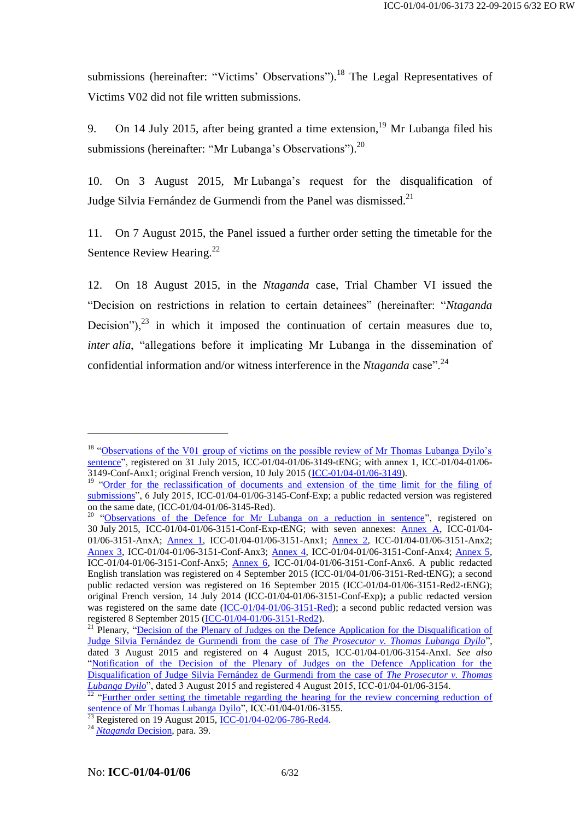submissions (hereinafter: "Victims' Observations").<sup>18</sup> The Legal Representatives of Victims V02 did not file written submissions.

9. On 14 July 2015, after being granted a time extension, <sup>19</sup> Mr Lubanga filed his submissions (hereinafter: "Mr Lubanga's Observations").<sup>20</sup>

10. On 3 August 2015, Mr Lubanga's request for the disqualification of Judge Silvia Fernández de Gurmendi from the Panel was dismissed.<sup>21</sup>

11. On 7 August 2015, the Panel issued a further order setting the timetable for the Sentence Review Hearing.<sup>22</sup>

12. On 18 August 2015, in the *Ntaganda* case, Trial Chamber VI issued the "Decision on restrictions in relation to certain detainees" (hereinafter: "*Ntaganda* Decision"), $^{23}$  in which it imposed the continuation of certain measures due to, *inter alia*, "allegations before it implicating Mr Lubanga in the dissemination of confidential information and/or witness interference in the *Ntaganda* case".<sup>24</sup>

<sup>&</sup>lt;sup>18</sup> "Observations of the V01 group of victims on the possible review of Mr Thomas Lubanga Dyilo's [sentence"](http://www.legal-tools.org/doc/ff5106/), registered on 31 July 2015, ICC-01/04-01/06-3149-tENG; with annex 1, ICC-01/04-01/06- 3149-Conf-Anx1; original French version, 10 July 2015 [\(ICC-01/04-01/06-3149\)](http://www.legal-tools.org/doc/bf4be3/).

<sup>&</sup>lt;sup>19</sup> "Order for the <u>reclassification of documents and extension of the time limit for the filing of</u> [submissions"](http://www.legal-tools.org/doc/ae8e4a/), 6 July 2015, ICC-01/04-01/06-3145-Conf-Exp; a public redacted version was registered on the same date, (ICC-01/04-01/06-3145-Red).

<sup>&</sup>lt;sup>20</sup> ["Observations of the Defence for Mr Lubanga on a reduction in sentence"](https://www.legal-tools.org/doc/19bd41/), registered on 30 July 2015, ICC-01/04-01/06-3151-Conf-Exp-tENG; with seven annexes: [Annex A,](http://www.legal-tools.org/doc/23ec6a/) ICC-01/04- 01/06-3151-AnxA; [Annex 1,](http://www.legal-tools.org/doc/590c0b/) ICC-01/04-01/06-3151-Anx1; [Annex 2,](http://www.legal-tools.org/doc/e9c98a/) ICC-01/04-01/06-3151-Anx2; [Annex 3,](http://www.legal-tools.org/doc/6f0c72/) ICC-01/04-01/06-3151-Conf-Anx3; [Annex 4,](http://www.legal-tools.org/doc/37bc24/) ICC-01/04-01/06-3151-Conf-Anx4; [Annex 5,](http://www.legal-tools.org/doc/e2eaa3/) ICC-01/04-01/06-3151-Conf-Anx5; [Annex 6,](http://www.legal-tools.org/doc/b60bb6/) ICC-01/04-01/06-3151-Conf-Anx6. A public redacted English translation was registered on 4 September 2015 (ICC-01/04-01/06-3151-Red-tENG); a second public redacted version was registered on 16 September 2015 (ICC-01/04-01/06-3151-Red2-tENG); original French version, 14 July 2014 (ICC-01/04-01/06-3151-Conf-Exp)**;** a public redacted version was registered on the same date [\(ICC-01/04-01/06-3151-Red\)](http://www.legal-tools.org/doc/44bfd2/); a second public redacted version was registered 8 September 2015 [\(ICC-01/04-01/06-3151-Red2\)](http://www.legal-tools.org/doc/80d376/).

<sup>&</sup>lt;sup>21</sup> Plenary, "Decision of the Plenary of Judges on the Defence Application for the Disqualification of [Judge Silvia Fernández de Gurmendi from the case of](http://www.legal-tools.org/doc/5379d7/) *The Prosecutor v. Thomas Lubanga Dyilo*", dated 3 August 2015 and registered on 4 August 2015, ICC-01/04-01/06-3154-AnxI. *See also* "Notification [of the Decision of the Plenary of Judges on the Defence Application for the](http://www.legal-tools.org/doc/3d2b86/)  [Disqualification of Judge Silvia Fernández de Gurmendi from the case of](http://www.legal-tools.org/doc/3d2b86/) *The Prosecutor v. Thomas [Lubanga Dyilo](http://www.legal-tools.org/doc/3d2b86/)*", dated 3 August 2015 and registered 4 August 2015, ICC-01/04-01/06-3154.

 $\frac{22}{22}$  "Further order setting the timetable regarding the hearing for the review concerning reduction of [sentence of Mr Thomas Lubanga Dyilo"](http://www.legal-tools.org/doc/db7a37/), ICC-01/04-01/06-3155.

 $\frac{23}{23}$  Registered on 19 August 2015[, ICC-01/04-02/06-786-Red4.](http://www.legal-tools.org/doc/1a0cd6/)

<sup>24</sup> *[Ntaganda](http://www.legal-tools.org/doc/1a0cd6/)* Decision, para. 39.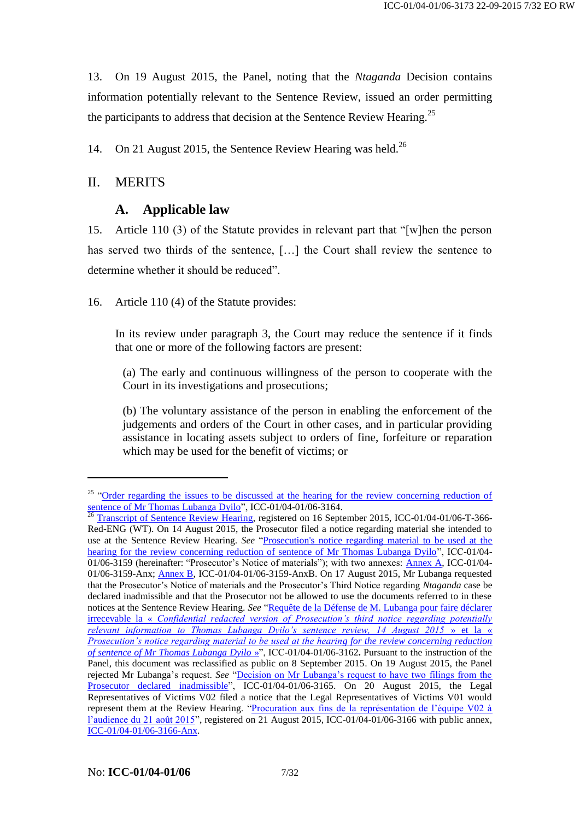13. On 19 August 2015, the Panel, noting that the *Ntaganda* Decision contains information potentially relevant to the Sentence Review, issued an order permitting the participants to address that decision at the Sentence Review Hearing.<sup>25</sup>

14. On 21 August 2015, the Sentence Review Hearing was held.<sup>26</sup>

# II. MERITS

1

# **A. Applicable law**

15. Article 110 (3) of the Statute provides in relevant part that "[w]hen the person has served two thirds of the sentence, […] the Court shall review the sentence to determine whether it should be reduced".

16. Article 110 (4) of the Statute provides:

In its review under paragraph 3, the Court may reduce the sentence if it finds that one or more of the following factors are present:

(a) The early and continuous willingness of the person to cooperate with the Court in its investigations and prosecutions;

(b) The voluntary assistance of the person in enabling the enforcement of the judgements and orders of the Court in other cases, and in particular providing assistance in locating assets subject to orders of fine, forfeiture or reparation which may be used for the benefit of victims; or

<sup>&</sup>lt;sup>25</sup> "Order regarding the issues to be discussed at the hearing for the review concerning reduction of [sentence of Mr Thomas Lubanga Dyilo"](http://www.legal-tools.org/doc/888306/), ICC-01/04-01/06-3164.

<sup>&</sup>lt;sup>26</sup> [Transcript of Sentence Review Hearing,](http://www.legal-tools.org/doc/6fb6bc/) registered on 16 September 2015, ICC-01/04-01/06-T-366-Red-ENG (WT). On 14 August 2015, the Prosecutor filed a notice regarding material she intended to use at the Sentence Review Hearing. *See* ["Prosecution's notice regarding material to be used at the](http://www.legal-tools.org/doc/99747b/)  [hearing for the review concerning reduction of sentence of Mr Thomas Lubanga Dyilo"](http://www.legal-tools.org/doc/99747b/), ICC-01/04-01/06-3159 (hereinafter: "Prosecutor's Notice of materials"); with two annexes: [Annex A,](http://www.legal-tools.org/doc/1e2934/) ICC-01/04- 01/06-3159-Anx; [Annex B,](http://www.legal-tools.org/doc/d3965e/) ICC-01/04-01/06-3159-AnxB. On 17 August 2015, Mr Lubanga requested that the Prosecutor's Notice of materials and the Prosecutor's Third Notice regarding *Ntaganda* case be declared inadmissible and that the Prosecutor not be allowed to use the documents referred to in these notices at the Sentence Review Hearing. See "Requête de la Défense de M. Lubanga pour faire déclarer irrecevable la « *[Confidential redacted version of Prosecution's third notice regarding potentially](http://www.legal-tools.org/doc/0d6621/)  [relevant information to Thomas Lubanga Dyilo's sentence review, 14 August 2015](http://www.legal-tools.org/doc/0d6621/)* » et la « *[Prosecution's notice regarding material to be used at the hearing for the review concerning reduction](http://www.legal-tools.org/doc/0d6621/)  [of sentence of Mr Thomas Lubanga Dyilo](http://www.legal-tools.org/doc/0d6621/)* »", ICC-01/04-01/06-3162**.** Pursuant to the instruction of the Panel, this document was reclassified as public on 8 September 2015. On 19 August 2015, the Panel rejected Mr Lubanga's request. *See* ["Decision on Mr Lubanga's request to have two filings from the](http://www.legal-tools.org/doc/525135/)  [Prosecutor declared inadmissible"](http://www.legal-tools.org/doc/525135/), ICC-01/04-01/06-3165. On 20 August 2015, the Legal Representatives of Victims V02 filed a notice that the Legal Representatives of Victims V01 would represent them at the Review Hearing. ["Procuration aux fins de la représentation de l'équipe V02 à](http://www.legal-tools.org/doc/ec43f5/)  [l'audience du 21 août 2015"](http://www.legal-tools.org/doc/ec43f5/), registered on 21 August 2015, ICC-01/04-01/06-3166 with public annex, [ICC-01/04-01/06-3166-Anx.](http://www.legal-tools.org/doc/6193a0/)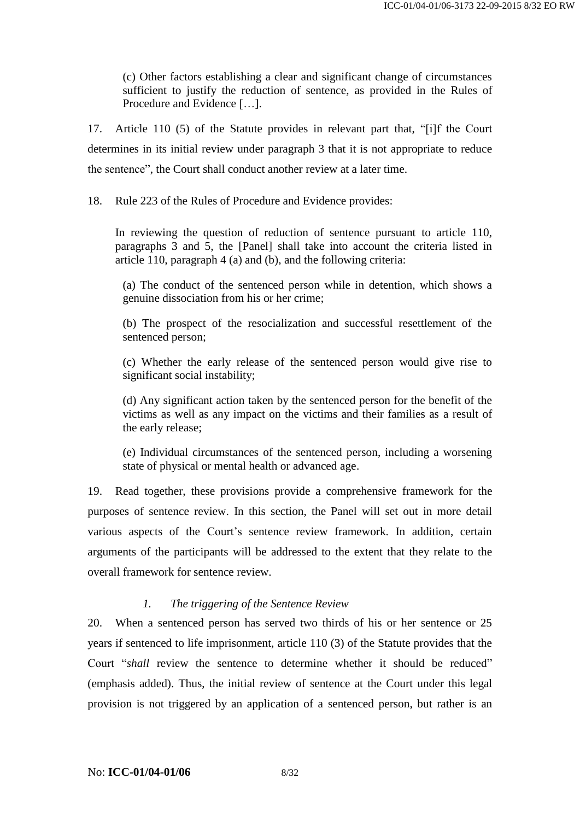(c) Other factors establishing a clear and significant change of circumstances sufficient to justify the reduction of sentence, as provided in the Rules of Procedure and Evidence […].

17. Article 110 (5) of the Statute provides in relevant part that, "[i]f the Court determines in its initial review under paragraph 3 that it is not appropriate to reduce the sentence", the Court shall conduct another review at a later time.

18. Rule 223 of the Rules of Procedure and Evidence provides:

In reviewing the question of reduction of sentence pursuant to article 110, paragraphs 3 and 5, the [Panel] shall take into account the criteria listed in article 110, paragraph 4 (a) and (b), and the following criteria:

(a) The conduct of the sentenced person while in detention, which shows a genuine dissociation from his or her crime;

(b) The prospect of the resocialization and successful resettlement of the sentenced person;

(c) Whether the early release of the sentenced person would give rise to significant social instability;

(d) Any significant action taken by the sentenced person for the benefit of the victims as well as any impact on the victims and their families as a result of the early release;

(e) Individual circumstances of the sentenced person, including a worsening state of physical or mental health or advanced age.

19. Read together, these provisions provide a comprehensive framework for the purposes of sentence review. In this section, the Panel will set out in more detail various aspects of the Court's sentence review framework. In addition, certain arguments of the participants will be addressed to the extent that they relate to the overall framework for sentence review.

#### *1. The triggering of the Sentence Review*

<span id="page-7-0"></span>20. When a sentenced person has served two thirds of his or her sentence or 25 years if sentenced to life imprisonment, article 110 (3) of the Statute provides that the Court "*shall* review the sentence to determine whether it should be reduced" (emphasis added). Thus, the initial review of sentence at the Court under this legal provision is not triggered by an application of a sentenced person, but rather is an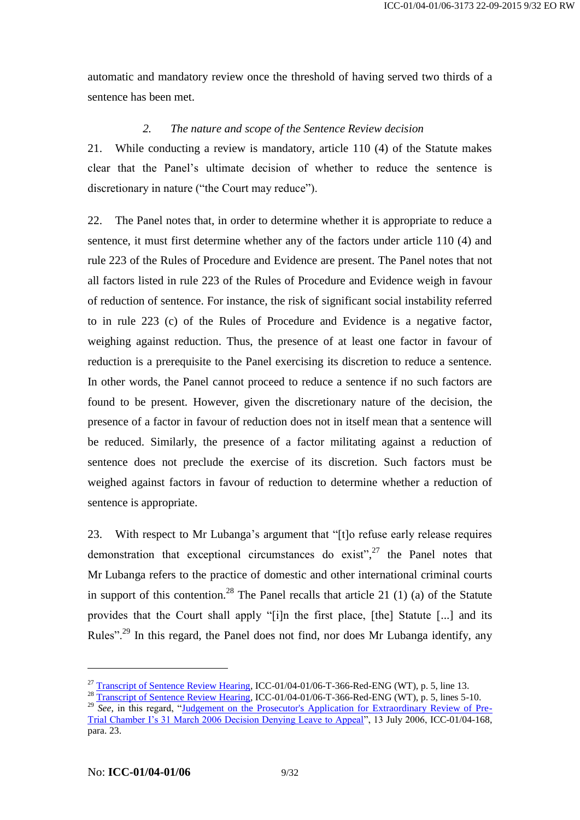automatic and mandatory review once the threshold of having served two thirds of a sentence has been met.

#### *2. The nature and scope of the Sentence Review decision*

21. While conducting a review is mandatory, article 110 (4) of the Statute makes clear that the Panel's ultimate decision of whether to reduce the sentence is discretionary in nature ("the Court may reduce").

22. The Panel notes that, in order to determine whether it is appropriate to reduce a sentence, it must first determine whether any of the factors under article 110 (4) and rule 223 of the Rules of Procedure and Evidence are present. The Panel notes that not all factors listed in rule 223 of the Rules of Procedure and Evidence weigh in favour of reduction of sentence. For instance, the risk of significant social instability referred to in rule 223 (c) of the Rules of Procedure and Evidence is a negative factor, weighing against reduction. Thus, the presence of at least one factor in favour of reduction is a prerequisite to the Panel exercising its discretion to reduce a sentence. In other words, the Panel cannot proceed to reduce a sentence if no such factors are found to be present. However, given the discretionary nature of the decision, the presence of a factor in favour of reduction does not in itself mean that a sentence will be reduced. Similarly, the presence of a factor militating against a reduction of sentence does not preclude the exercise of its discretion. Such factors must be weighed against factors in favour of reduction to determine whether a reduction of sentence is appropriate.

<span id="page-8-0"></span>23. With respect to Mr Lubanga's argument that "[t]o refuse early release requires demonstration that exceptional circumstances do exist", <sup>27</sup> the Panel notes that Mr Lubanga refers to the practice of domestic and other international criminal courts in support of this contention.<sup>28</sup> The Panel recalls that article 21  $(1)$   $(a)$  of the Statute provides that the Court shall apply "[i]n the first place, [the] Statute [...] and its Rules".<sup>29</sup> In this regard, the Panel does not find, nor does Mr Lubanga identify, any

<sup>&</sup>lt;sup>27</sup> [Transcript of Sentence Review Hearing,](http://www.legal-tools.org/doc/6fb6bc/) ICC-01/04-01/06-T-366-Red-ENG (WT), p. 5, line 13.

<sup>&</sup>lt;sup>28</sup> [Transcript of Sentence Review Hearing,](http://www.legal-tools.org/doc/6fb6bc/) ICC-01/04-01/06-T-366-Red-ENG (WT), p. 5, lines 5-10.

<sup>&</sup>lt;sup>29</sup> *See*, in this regard, ["Judgement on the Prosecutor's Application for Extraordinary Review of Pre-](http://www.legal-tools.org/doc/a60023/)[Trial Chamber I's 31 March 2006 Decision Denying Leave to Appeal"](http://www.legal-tools.org/doc/a60023/), 13 July 2006, ICC-01/04-168, para. 23.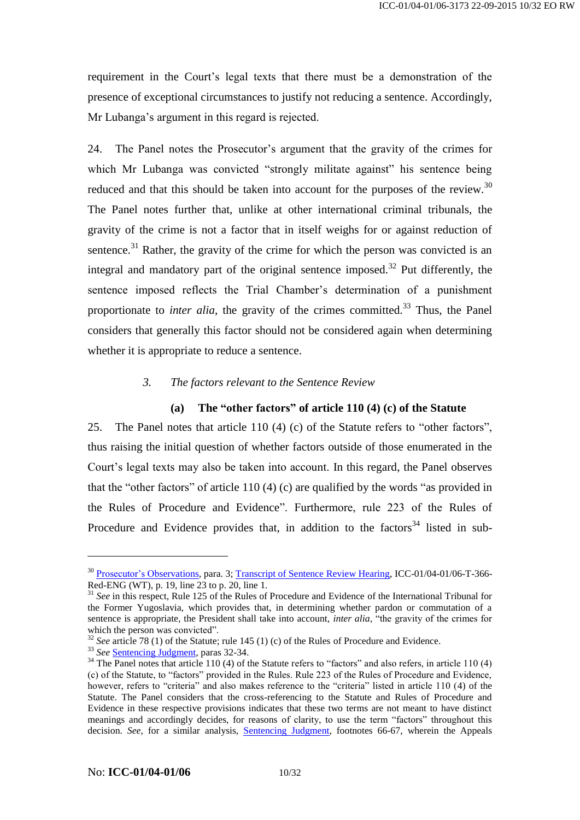requirement in the Court's legal texts that there must be a demonstration of the presence of exceptional circumstances to justify not reducing a sentence. Accordingly, Mr Lubanga's argument in this regard is rejected.

24. The Panel notes the Prosecutor's argument that the gravity of the crimes for which Mr Lubanga was convicted "strongly militate against" his sentence being reduced and that this should be taken into account for the purposes of the review.<sup>30</sup> The Panel notes further that, unlike at other international criminal tribunals, the gravity of the crime is not a factor that in itself weighs for or against reduction of sentence.<sup>31</sup> Rather, the gravity of the crime for which the person was convicted is an integral and mandatory part of the original sentence imposed.<sup>32</sup> Put differently, the sentence imposed reflects the Trial Chamber's determination of a punishment proportionate to *inter alia*, the gravity of the crimes committed.<sup>33</sup> Thus, the Panel considers that generally this factor should not be considered again when determining whether it is appropriate to reduce a sentence.

### *3. The factors relevant to the Sentence Review*

### **(a) The "other factors" of article 110 (4) (c) of the Statute**

<span id="page-9-0"></span>25. The Panel notes that article 110 (4) (c) of the Statute refers to "other factors", thus raising the initial question of whether factors outside of those enumerated in the Court's legal texts may also be taken into account. In this regard, the Panel observes that the "other factors" of article 110 (4) (c) are qualified by the words "as provided in the Rules of Procedure and Evidence". Furthermore, rule 223 of the Rules of Procedure and Evidence provides that, in addition to the factors<sup>34</sup> listed in sub-

<sup>&</sup>lt;sup>30</sup> [Prosecutor's Observations,](http://www.legal-tools.org/doc/1840d8/) para. 3; [Transcript of Sentence Review Hearing,](http://www.legal-tools.org/doc/6fb6bc/) ICC-01/04-01/06-T-366-Red-ENG (WT), p. 19, line 23 to p. 20, line 1.

<sup>&</sup>lt;sup>31</sup> *See* in this respect, Rule 125 of the Rules of Procedure and Evidence of the International Tribunal for the Former Yugoslavia, which provides that, in determining whether pardon or commutation of a sentence is appropriate, the President shall take into account, *inter alia*, "the gravity of the crimes for which the person was convicted".

<sup>&</sup>lt;sup>32</sup> See article 78 (1) of the Statute; rule 145 (1) (c) of the Rules of Procedure and Evidence.

<sup>33</sup> *See* [Sentencing Judgment,](http://www.legal-tools.org/doc/a9bd07/) paras 32-34.

 $34$  The Panel notes that article 110 (4) of the Statute refers to "factors" and also refers, in article 110 (4) (c) of the Statute, to "factors" provided in the Rules. Rule 223 of the Rules of Procedure and Evidence, however, refers to "criteria" and also makes reference to the "criteria" listed in article 110 (4) of the Statute. The Panel considers that the cross-referencing to the Statute and Rules of Procedure and Evidence in these respective provisions indicates that these two terms are not meant to have distinct meanings and accordingly decides, for reasons of clarity, to use the term "factors" throughout this decision. *See*, for a similar analysis, [Sentencing Judgment,](http://www.legal-tools.org/doc/a9bd07/) footnotes 66-67, wherein the Appeals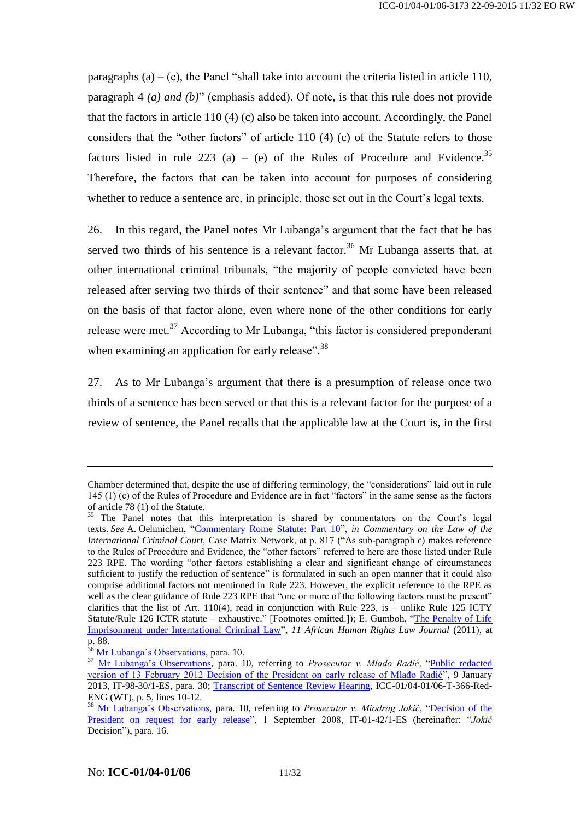paragraphs  $(a) - (e)$ , the Panel "shall take into account the criteria listed in article 110, paragraph 4 *(a) and (b)*" (emphasis added). Of note, is that this rule does not provide that the factors in article 110 (4) (c) also be taken into account. Accordingly, the Panel considers that the "other factors" of article 110 (4) (c) of the Statute refers to those factors listed in rule 223 (a) – (e) of the Rules of Procedure and Evidence.<sup>35</sup> Therefore, the factors that can be taken into account for purposes of considering whether to reduce a sentence are, in principle, those set out in the Court's legal texts.

26. In this regard, the Panel notes Mr Lubanga's argument that the fact that he has served two thirds of his sentence is a relevant factor.<sup>36</sup> Mr Lubanga asserts that, at other international criminal tribunals, "the majority of people convicted have been released after serving two thirds of their sentence" and that some have been released on the basis of that factor alone, even where none of the other conditions for early release were met.<sup>37</sup> According to Mr Lubanga, "this factor is considered preponderant when examining an application for early release".<sup>38</sup>

27. As to Mr Lubanga's argument that there is a presumption of release once two thirds of a sentence has been served or that this is a relevant factor for the purpose of a review of sentence, the Panel recalls that the applicable law at the Court is, in the first

Chamber determined that, despite the use of differing terminology, the "considerations" laid out in rule 145 (1) (c) of the Rules of Procedure and Evidence are in fact "factors" in the same sense as the factors of article 78 (1) of the Statute.

<sup>&</sup>lt;sup>35</sup> The Panel notes that this interpretation is shared by commentators on the Court's legal texts. *See* A. Oehmichen, ["Commentary Rome Statute: Part 10"](https://www.legal-tools.org/doc/f979de/), *in Commentary on the Law of the International Criminal Court,* Case Matrix Network, at p. 817 ("As sub-paragraph c) makes reference to the Rules of Procedure and Evidence, the "other factors" referred to here are those listed under Rule 223 RPE. The wording "other factors establishing a clear and significant change of circumstances sufficient to justify the reduction of sentence" is formulated in such an open manner that it could also comprise additional factors not mentioned in Rule 223. However, the explicit reference to the RPE as well as the clear guidance of Rule 223 RPE that "one or more of the following factors must be present" clarifies that the list of Art.  $110(4)$ , read in conjunction with Rule 223, is – unlike Rule 125 ICTY Statute/Rule 126 ICTR statute – exhaustive." [Footnotes omitted.]); E. Gumboh, ["The Penalty of Life](https://www.legal-tools.org/doc/c2fda6/)  [Imprisonment under International Criminal Law"](https://www.legal-tools.org/doc/c2fda6/), *11 African Human Rights Law Journal* (2011), at  $p.\overline{88}$ .

[Mr Lubanga's Observations,](https://www.legal-tools.org/doc/19bd41/) para. 10.

<sup>&</sup>lt;sup>37</sup> [Mr Lubanga's Observations,](https://www.legal-tools.org/doc/19bd41/) para. 10, referring to *Prosecutor v. Mlađo Radić*, "Public redacted [version of 13 February 2012 Decision of the President on early release of Mlađo Radić"](http://www.legal-tools.org/doc/39a3dd/), 9 January 2013, IT-98-30/1-ES, para. 30; [Transcript of Sentence Review Hearing,](http://www.legal-tools.org/doc/6fb6bc/) ICC-01/04-01/06-T-366-Red-ENG (WT), p. 5, lines 10-12.

<sup>38</sup> [Mr Lubanga's Observations,](https://www.legal-tools.org/doc/19bd41/) para. 10, referring to *Prosecutor v. Miodrag Jokić*, ["Decision of the](http://www.legal-tools.org/doc/86aebd/)  [President on request for early release"](http://www.legal-tools.org/doc/86aebd/), 1 September 2008, IT-01-42/1-ES (hereinafter: "*Jokić* Decision"), para. 16.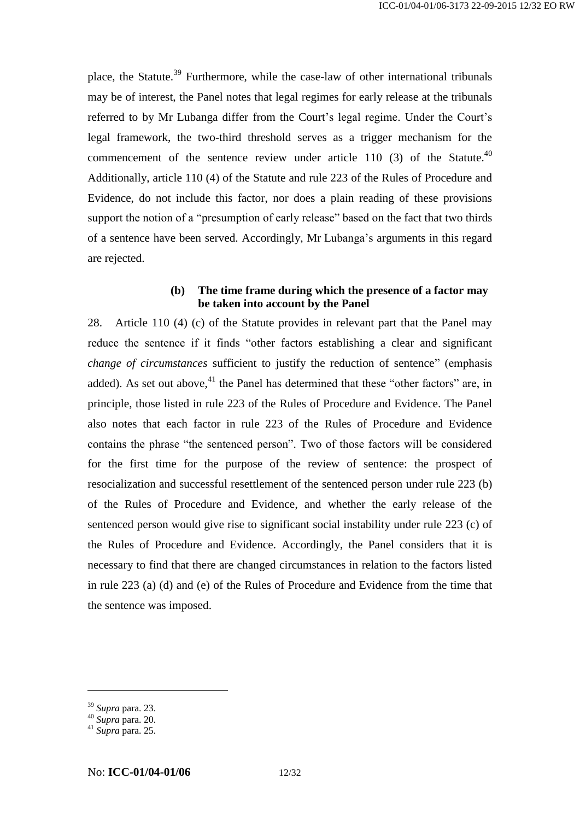place, the Statute.<sup>39</sup> Furthermore, while the case-law of other international tribunals may be of interest, the Panel notes that legal regimes for early release at the tribunals referred to by Mr Lubanga differ from the Court's legal regime. Under the Court's legal framework, the two-third threshold serves as a trigger mechanism for the commencement of the sentence review under article 110 (3) of the Statute.<sup>40</sup> Additionally, article 110 (4) of the Statute and rule 223 of the Rules of Procedure and Evidence, do not include this factor, nor does a plain reading of these provisions support the notion of a "presumption of early release" based on the fact that two thirds of a sentence have been served. Accordingly, Mr Lubanga's arguments in this regard are rejected.

### **(b) The time frame during which the presence of a factor may be taken into account by the Panel**

28. Article 110 (4) (c) of the Statute provides in relevant part that the Panel may reduce the sentence if it finds "other factors establishing a clear and significant *change of circumstances* sufficient to justify the reduction of sentence" (emphasis added). As set out above, $41$  the Panel has determined that these "other factors" are, in principle, those listed in rule 223 of the Rules of Procedure and Evidence. The Panel also notes that each factor in rule 223 of the Rules of Procedure and Evidence contains the phrase "the sentenced person". Two of those factors will be considered for the first time for the purpose of the review of sentence: the prospect of resocialization and successful resettlement of the sentenced person under rule 223 (b) of the Rules of Procedure and Evidence, and whether the early release of the sentenced person would give rise to significant social instability under rule 223 (c) of the Rules of Procedure and Evidence. Accordingly, the Panel considers that it is necessary to find that there are changed circumstances in relation to the factors listed in rule 223 (a) (d) and (e) of the Rules of Procedure and Evidence from the time that the sentence was imposed.

<sup>39</sup> *Supra* para[. 23.](#page-8-0)

<sup>40</sup> *Supra* para[. 20.](#page-7-0)

<sup>41</sup> *Supra* para[. 25.](#page-9-0)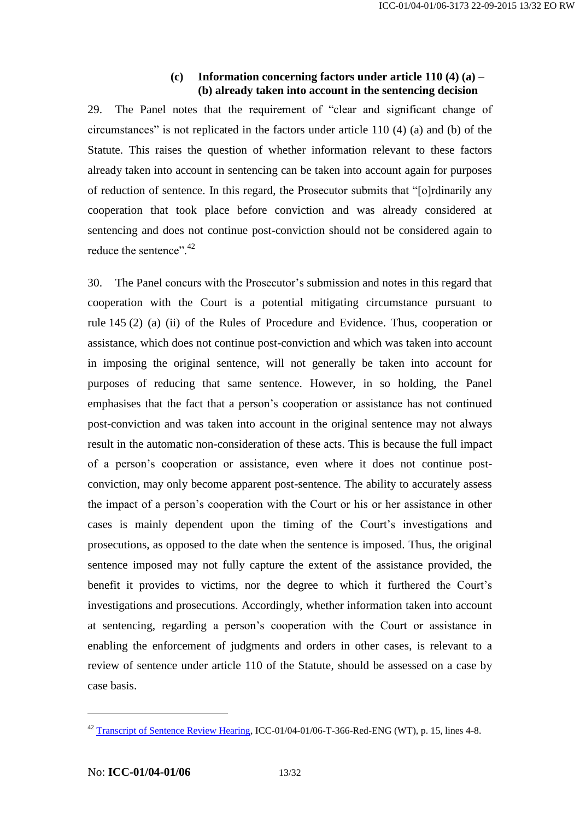### **(c) Information concerning factors under article 110 (4) (a) – (b) already taken into account in the sentencing decision**

29. The Panel notes that the requirement of "clear and significant change of circumstances" is not replicated in the factors under article 110 (4) (a) and (b) of the Statute. This raises the question of whether information relevant to these factors already taken into account in sentencing can be taken into account again for purposes of reduction of sentence. In this regard, the Prosecutor submits that "[o]rdinarily any cooperation that took place before conviction and was already considered at sentencing and does not continue post-conviction should not be considered again to reduce the sentence".<sup>42</sup>

<span id="page-12-0"></span>30. The Panel concurs with the Prosecutor's submission and notes in this regard that cooperation with the Court is a potential mitigating circumstance pursuant to rule 145 (2) (a) (ii) of the Rules of Procedure and Evidence. Thus, cooperation or assistance, which does not continue post-conviction and which was taken into account in imposing the original sentence, will not generally be taken into account for purposes of reducing that same sentence. However, in so holding, the Panel emphasises that the fact that a person's cooperation or assistance has not continued post-conviction and was taken into account in the original sentence may not always result in the automatic non-consideration of these acts. This is because the full impact of a person's cooperation or assistance, even where it does not continue postconviction, may only become apparent post-sentence. The ability to accurately assess the impact of a person's cooperation with the Court or his or her assistance in other cases is mainly dependent upon the timing of the Court's investigations and prosecutions, as opposed to the date when the sentence is imposed. Thus, the original sentence imposed may not fully capture the extent of the assistance provided, the benefit it provides to victims, nor the degree to which it furthered the Court's investigations and prosecutions. Accordingly, whether information taken into account at sentencing, regarding a person's cooperation with the Court or assistance in enabling the enforcement of judgments and orders in other cases, is relevant to a review of sentence under article 110 of the Statute, should be assessed on a case by case basis.

<sup>&</sup>lt;sup>42</sup> [Transcript of Sentence Review Hearing,](http://www.legal-tools.org/doc/6fb6bc/) ICC-01/04-01/06-T-366-Red-ENG (WT), p. 15, lines 4-8.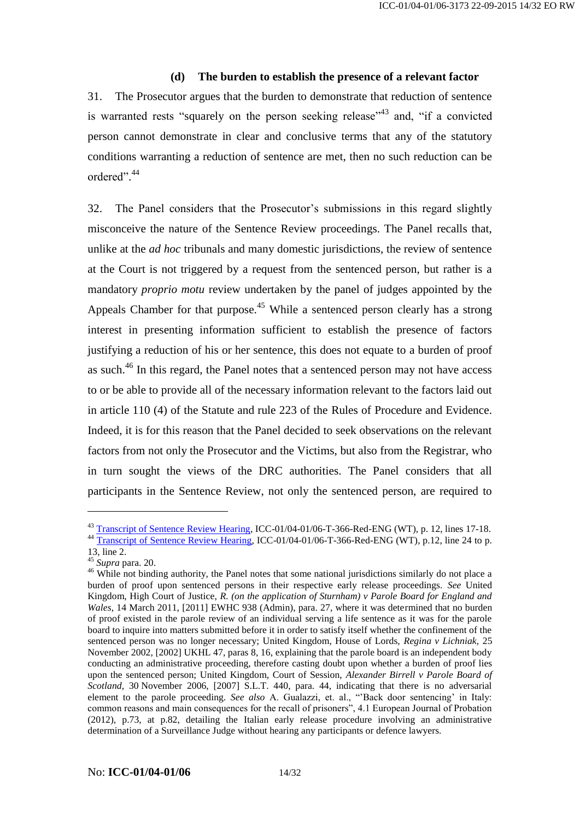#### **(d) The burden to establish the presence of a relevant factor**

31. The Prosecutor argues that the burden to demonstrate that reduction of sentence is warranted rests "squarely on the person seeking release"<sup>43</sup> and, "if a convicted person cannot demonstrate in clear and conclusive terms that any of the statutory conditions warranting a reduction of sentence are met, then no such reduction can be ordered". 44

32. The Panel considers that the Prosecutor's submissions in this regard slightly misconceive the nature of the Sentence Review proceedings. The Panel recalls that, unlike at the *ad hoc* tribunals and many domestic jurisdictions, the review of sentence at the Court is not triggered by a request from the sentenced person, but rather is a mandatory *proprio motu* review undertaken by the panel of judges appointed by the Appeals Chamber for that purpose.<sup>45</sup> While a sentenced person clearly has a strong interest in presenting information sufficient to establish the presence of factors justifying a reduction of his or her sentence, this does not equate to a burden of proof as such.<sup>46</sup> In this regard, the Panel notes that a sentenced person may not have access to or be able to provide all of the necessary information relevant to the factors laid out in article 110 (4) of the Statute and rule 223 of the Rules of Procedure and Evidence. Indeed, it is for this reason that the Panel decided to seek observations on the relevant factors from not only the Prosecutor and the Victims, but also from the Registrar, who in turn sought the views of the DRC authorities. The Panel considers that all participants in the Sentence Review, not only the sentenced person, are required to

<sup>&</sup>lt;sup>43</sup> [Transcript of Sentence Review Hearing,](http://www.legal-tools.org/doc/6fb6bc/) ICC-01/04-01/06-T-366-Red-ENG (WT), p. 12, lines 17-18. <sup>44</sup> [Transcript of Sentence Review Hearing,](http://www.legal-tools.org/doc/6fb6bc/) ICC-01/04-01/06-T-366-Red-ENG (WT), p.12, line 24 to p.

<sup>13,</sup> line 2.

<sup>45</sup> *Supra* para[. 20.](#page-7-0)

<sup>&</sup>lt;sup>46</sup> While not binding authority, the Panel notes that some national jurisdictions similarly do not place a burden of proof upon sentenced persons in their respective early release proceedings. *See* United Kingdom, High Court of Justice, *R. (on the application of Sturnham) v Parole Board for England and Wales*, 14 March 2011, [2011] EWHC 938 (Admin), para. 27, where it was determined that no burden of proof existed in the parole review of an individual serving a life sentence as it was for the parole board to inquire into matters submitted before it in order to satisfy itself whether the confinement of the sentenced person was no longer necessary; United Kingdom, House of Lords, *Regina v Lichniak,* 25 November 2002, [2002] UKHL 47, paras 8, 16, explaining that the parole board is an independent body conducting an administrative proceeding, therefore casting doubt upon whether a burden of proof lies upon the sentenced person; United Kingdom, Court of Session, *Alexander Birrell v Parole Board of Scotland*, 30 November 2006, [2007] S.L.T. 440, para. 44, indicating that there is no adversarial element to the parole proceeding. *See also* A. Gualazzi, et. al., "'Back door sentencing' in Italy: common reasons and main consequences for the recall of prisoners", 4.1 European Journal of Probation (2012), p.73, at p.82, detailing the Italian early release procedure involving an administrative determination of a Surveillance Judge without hearing any participants or defence lawyers.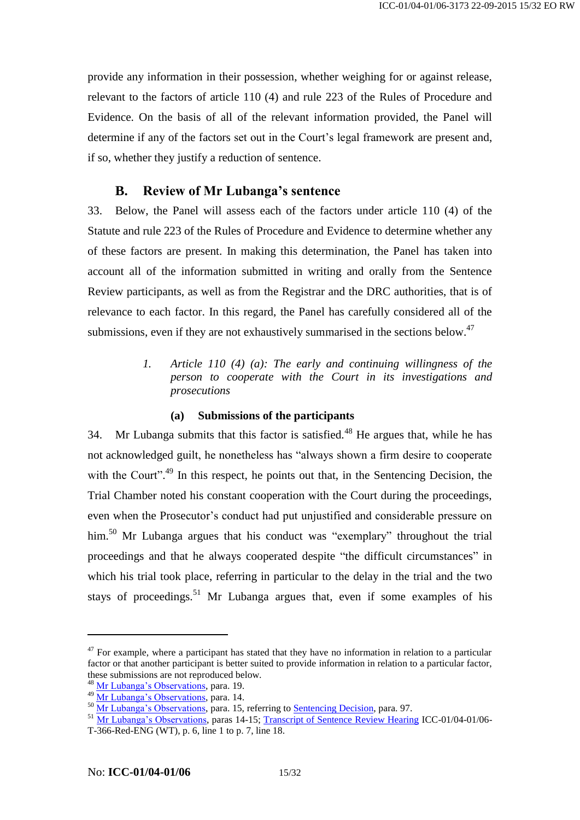provide any information in their possession, whether weighing for or against release, relevant to the factors of article 110 (4) and rule 223 of the Rules of Procedure and Evidence. On the basis of all of the relevant information provided, the Panel will determine if any of the factors set out in the Court's legal framework are present and, if so, whether they justify a reduction of sentence.

# **B. Review of Mr Lubanga's sentence**

33. Below, the Panel will assess each of the factors under article 110 (4) of the Statute and rule 223 of the Rules of Procedure and Evidence to determine whether any of these factors are present. In making this determination, the Panel has taken into account all of the information submitted in writing and orally from the Sentence Review participants, as well as from the Registrar and the DRC authorities, that is of relevance to each factor. In this regard, the Panel has carefully considered all of the submissions, even if they are not exhaustively summarised in the sections below.<sup>47</sup>

> *1. Article 110 (4) (a): The early and continuing willingness of the person to cooperate with the Court in its investigations and prosecutions*

### **(a) Submissions of the participants**

34. Mr Lubanga submits that this factor is satisfied.<sup>48</sup> He argues that, while he has not acknowledged guilt, he nonetheless has "always shown a firm desire to cooperate with the Court".<sup>49</sup> In this respect, he points out that, in the Sentencing Decision, the Trial Chamber noted his constant cooperation with the Court during the proceedings, even when the Prosecutor's conduct had put unjustified and considerable pressure on him.<sup>50</sup> Mr Lubanga argues that his conduct was "exemplary" throughout the trial proceedings and that he always cooperated despite "the difficult circumstances" in which his trial took place, referring in particular to the delay in the trial and the two stays of proceedings.<sup>51</sup> Mr Lubanga argues that, even if some examples of his

 $47$  For example, where a participant has stated that they have no information in relation to a particular factor or that another participant is better suited to provide information in relation to a particular factor, these submissions are not reproduced below.

<sup>&</sup>lt;sup>48</sup> [Mr Lubanga's Observations,](https://www.legal-tools.org/doc/19bd41/) para. 19.

<sup>&</sup>lt;sup>49</sup> [Mr Lubanga's Observations,](https://www.legal-tools.org/doc/19bd41/) para. 14.

<sup>&</sup>lt;sup>50</sup> [Mr Lubanga's Observations,](https://www.legal-tools.org/doc/19bd41/) para. 15, referring to <u>Sentencing Decision</u>, para. 97.

<sup>&</sup>lt;sup>51</sup> [Mr Lubanga's Observations,](https://www.legal-tools.org/doc/19bd41/) paras 14-15; [Transcript of Sentence Review Hearing](http://www.legal-tools.org/doc/6fb6bc/) ICC-01/04-01/06-T-366-Red-ENG (WT), p. 6, line 1 to p. 7, line 18.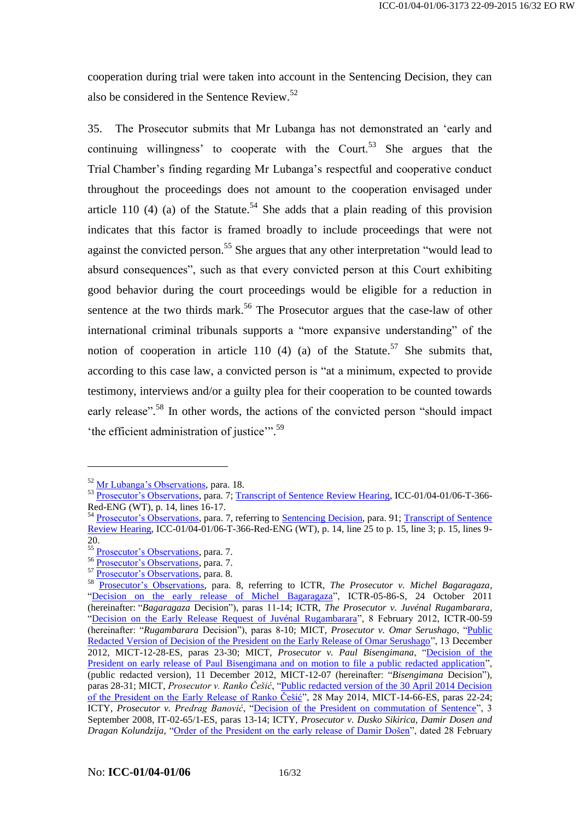cooperation during trial were taken into account in the Sentencing Decision, they can also be considered in the Sentence Review. 52

35. The Prosecutor submits that Mr Lubanga has not demonstrated an 'early and continuing willingness' to cooperate with the Court.<sup>53</sup> She argues that the Trial Chamber's finding regarding Mr Lubanga's respectful and cooperative conduct throughout the proceedings does not amount to the cooperation envisaged under article 110 (4) (a) of the Statute.<sup>54</sup> She adds that a plain reading of this provision indicates that this factor is framed broadly to include proceedings that were not against the convicted person.<sup>55</sup> She argues that any other interpretation "would lead to absurd consequences", such as that every convicted person at this Court exhibiting good behavior during the court proceedings would be eligible for a reduction in sentence at the two thirds mark.<sup>56</sup> The Prosecutor argues that the case-law of other international criminal tribunals supports a "more expansive understanding" of the notion of cooperation in article 110 (4) (a) of the Statute.<sup>57</sup> She submits that, according to this case law, a convicted person is "at a minimum, expected to provide testimony, interviews and/or a guilty plea for their cooperation to be counted towards early release".<sup>58</sup> In other words, the actions of the convicted person "should impact 'the efficient administration of justice".<sup>59</sup>

<sup>52</sup> [Mr Lubanga's Observations,](https://www.legal-tools.org/doc/19bd41/) para. 18.

<sup>&</sup>lt;sup>53</sup> [Prosecutor's Observations,](http://www.legal-tools.org/doc/1840d8/) para. 7; [Transcript of Sentence Review Hearing,](http://www.legal-tools.org/doc/6fb6bc/) ICC-01/04-01/06-T-366-Red-ENG (WT), p. 14, lines 16-17.

<sup>&</sup>lt;sup>54</sup> [Prosecutor's Observations,](http://www.legal-tools.org/doc/1840d8/) para. 7, referring to [Sentencing Decision,](https://www.legal-tools.org/doc/c79996/) para. 91; Transcript of Sentence [Review Hearing,](http://www.legal-tools.org/doc/6fb6bc/) ICC-01/04-01/06-T-366-Red-ENG (WT), p. 14, line 25 to p. 15, line 3; p. 15, lines 9- 20.

<sup>&</sup>lt;sup>55</sup> [Prosecutor's Observations,](http://www.legal-tools.org/doc/1840d8/) para. 7.

<sup>56</sup> [Prosecutor's Observations,](http://www.legal-tools.org/doc/1840d8/) para. 7.

<sup>&</sup>lt;sup>57</sup> Prosecuto<u>r's Observations</u>, para. 8.

<sup>58</sup> [Prosecutor's Observations,](http://www.legal-tools.org/doc/1840d8/) para. 8, referring to ICTR, *The Prosecutor v. Michel Bagaragaza*, ["Decision on the early release of Michel Bagaragaza"](http://www.legal-tools.org/doc/0719fb/), ICTR-05-86-S, 24 October 2011 (hereinafter: "*Bagaragaza* Decision"), paras 11-14; ICTR, *The Prosecutor v. Juvénal Rugambarara*, ["Decision on the Early Release Request of Juvénal Rugambarara"](http://www.legal-tools.org/doc/a7cfee/), 8 February 2012, ICTR-00-59 (hereinafter: "*Rugambarara* Decision"), paras 8-10; MICT, *Prosecutor v. Omar Serushago*, ["Public](http://www.legal-tools.org/doc/cf44a8/)  [Redacted Version of Decision of the President on the Early Release of Omar Serushago"](http://www.legal-tools.org/doc/cf44a8/), 13 December 2012, MICT-12-28-ES, paras 23-30; MICT, *Prosecutor v. Paul Bisengimana*, ["Decision of the](https://www.legal-tools.org/doc/c9adfb/)  [President on early release of Paul Bisengimana and on motion to file a public redacted application"](https://www.legal-tools.org/doc/c9adfb/), (public redacted version), 11 December 2012, MICT-12-07 (hereinafter: "*Bisengimana* Decision"), paras 28-31; MICT, *Prosecutor v. Ranko Češić*, ["Public redacted version of the 30 April 2014 Decision](http://www.legal-tools.org/doc/cc45ad/)  [of the President on the Early Release of Ranko Češić"](http://www.legal-tools.org/doc/cc45ad/), 28 May 2014, MICT-14-66-ES, paras 22-24; ICTY, *Prosecutor v. Predrag Banović*, ["Decision of the President on commutation of Sentence"](http://www.legal-tools.org/doc/5218b9/), 3 September 2008, IT-02-65/1-ES, paras 13-14; ICTY, *Prosecutor v. Dusko Sikirica, Damir Dosen and Dragan Kolundzija,* ["Order of the President on the early release of Damir Došen"](http://www.legal-tools.org/doc/0c6876/), dated 28 February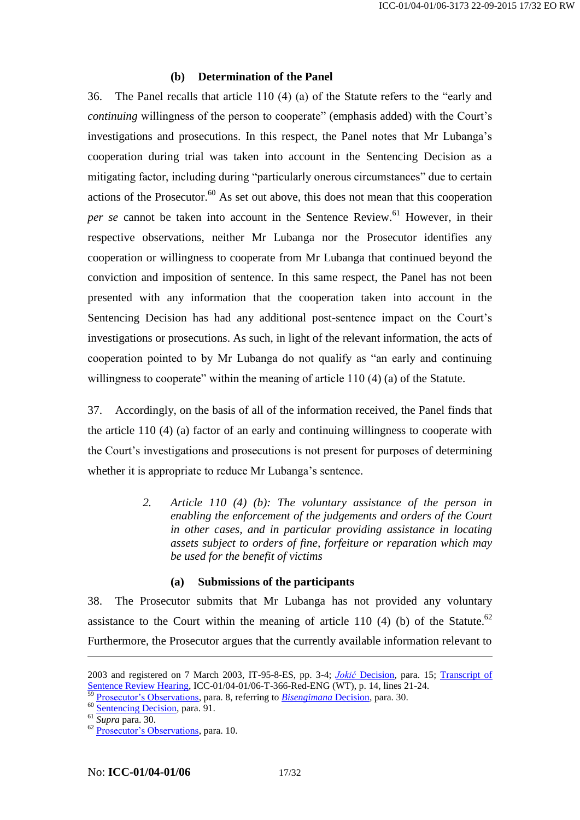#### **(b) Determination of the Panel**

36. The Panel recalls that article 110 (4) (a) of the Statute refers to the "early and *continuing* willingness of the person to cooperate" (emphasis added) with the Court's investigations and prosecutions. In this respect, the Panel notes that Mr Lubanga's cooperation during trial was taken into account in the Sentencing Decision as a mitigating factor, including during "particularly onerous circumstances" due to certain actions of the Prosecutor. <sup>60</sup> As set out above, this does not mean that this cooperation *per se* cannot be taken into account in the Sentence Review. <sup>61</sup> However, in their respective observations, neither Mr Lubanga nor the Prosecutor identifies any cooperation or willingness to cooperate from Mr Lubanga that continued beyond the conviction and imposition of sentence. In this same respect, the Panel has not been presented with any information that the cooperation taken into account in the Sentencing Decision has had any additional post-sentence impact on the Court's investigations or prosecutions. As such, in light of the relevant information, the acts of cooperation pointed to by Mr Lubanga do not qualify as "an early and continuing willingness to cooperate" within the meaning of article 110 (4) (a) of the Statute.

37. Accordingly, on the basis of all of the information received, the Panel finds that the article 110 (4) (a) factor of an early and continuing willingness to cooperate with the Court's investigations and prosecutions is not present for purposes of determining whether it is appropriate to reduce Mr Lubanga's sentence.

> *2. Article 110 (4) (b): The voluntary assistance of the person in enabling the enforcement of the judgements and orders of the Court in other cases, and in particular providing assistance in locating assets subject to orders of fine, forfeiture or reparation which may be used for the benefit of victims*

#### **(a) Submissions of the participants**

38. The Prosecutor submits that Mr Lubanga has not provided any voluntary assistance to the Court within the meaning of article 110 (4) (b) of the Statute.<sup>62</sup> Furthermore, the Prosecutor argues that the currently available information relevant to

<sup>2003</sup> and registered on 7 March 2003, IT-95-8-ES, pp. 3-4; *Jokić* [Decision,](http://www.legal-tools.org/doc/86aebd/) para. 15; [Transcript of](http://www.legal-tools.org/doc/6fb6bc/)  [Sentence Review Hearing,](http://www.legal-tools.org/doc/6fb6bc/) ICC-01/04-01/06-T-366-Red-ENG (WT), p. 14, lines 21-24.

<sup>59</sup> [Prosecutor's Observations,](http://www.legal-tools.org/doc/1840d8/) para. 8, referring to *[Bisengimana](https://www.legal-tools.org/doc/c9adfb/)* Decision, para. 30.

<sup>&</sup>lt;sup>60</sup> [Sentencing](http://www.legal-tools.org/doc/c79996/) Decision, para. 91.

<sup>61</sup> *Supra* para[. 30.](#page-12-0)

<sup>62</sup> [Prosecutor's Observations,](http://www.legal-tools.org/doc/1840d8/) para. 10.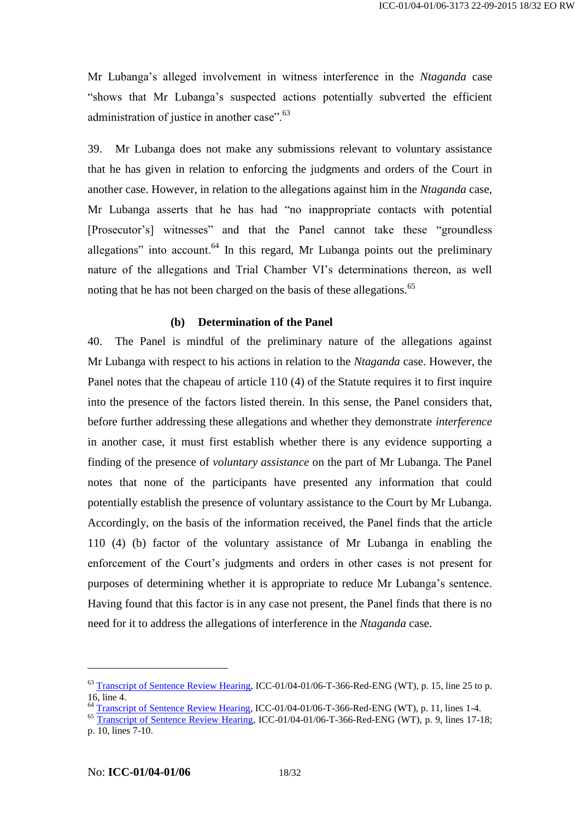Mr Lubanga's alleged involvement in witness interference in the *Ntaganda* case "shows that Mr Lubanga's suspected actions potentially subverted the efficient administration of justice in another case".<sup>63</sup>

39. Mr Lubanga does not make any submissions relevant to voluntary assistance that he has given in relation to enforcing the judgments and orders of the Court in another case. However, in relation to the allegations against him in the *Ntaganda* case, Mr Lubanga asserts that he has had "no inappropriate contacts with potential [Prosecutor's] witnesses" and that the Panel cannot take these "groundless allegations" into account.<sup>64</sup> In this regard, Mr Lubanga points out the preliminary nature of the allegations and Trial Chamber VI's determinations thereon, as well noting that he has not been charged on the basis of these allegations.<sup>65</sup>

#### **(b) Determination of the Panel**

40. The Panel is mindful of the preliminary nature of the allegations against Mr Lubanga with respect to his actions in relation to the *Ntaganda* case. However, the Panel notes that the chapeau of article 110 (4) of the Statute requires it to first inquire into the presence of the factors listed therein. In this sense, the Panel considers that, before further addressing these allegations and whether they demonstrate *interference*  in another case, it must first establish whether there is any evidence supporting a finding of the presence of *voluntary assistance* on the part of Mr Lubanga. The Panel notes that none of the participants have presented any information that could potentially establish the presence of voluntary assistance to the Court by Mr Lubanga. Accordingly, on the basis of the information received, the Panel finds that the article 110 (4) (b) factor of the voluntary assistance of Mr Lubanga in enabling the enforcement of the Court's judgments and orders in other cases is not present for purposes of determining whether it is appropriate to reduce Mr Lubanga's sentence. Having found that this factor is in any case not present, the Panel finds that there is no need for it to address the allegations of interference in the *Ntaganda* case.

<sup>&</sup>lt;sup>63</sup> [Transcript of Sentence Review Hearing,](http://www.legal-tools.org/doc/6fb6bc/) ICC-01/04-01/06-T-366-Red-ENG (WT), p. 15, line 25 to p. 16, line 4.

<sup>&</sup>lt;sup>64</sup> [Transcript of Sentence Review Hearing,](http://www.legal-tools.org/doc/6fb6bc/) ICC-01/04-01/06-T-366-Red-ENG (WT), p. 11, lines 1-4.

 $\overline{\text{transcript}}$   $\overline{\text{transcript}}$  of Sentence Review Hearing, ICC-01/04-01/06-T-366-Red-ENG (WT), p. 9, lines 17-18; p. 10, lines 7-10.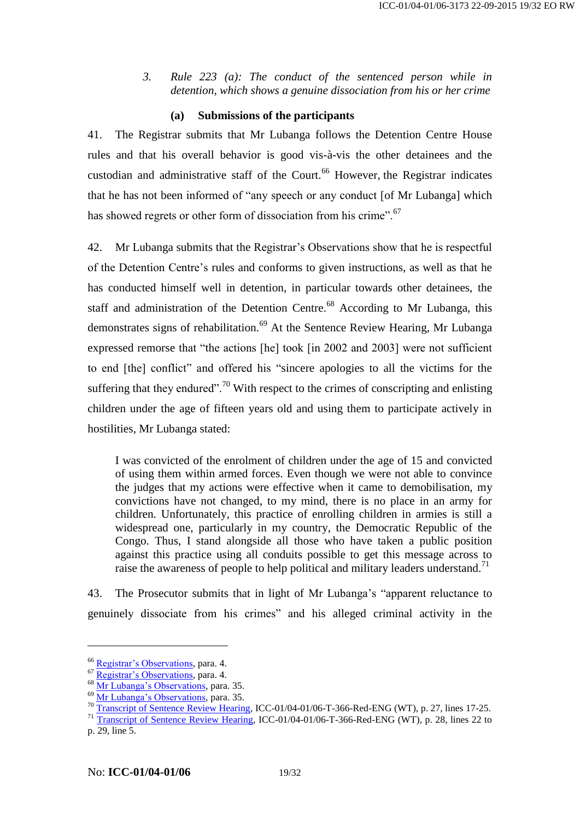*3. Rule 223 (a): The conduct of the sentenced person while in detention, which shows a genuine dissociation from his or her crime*

#### **(a) Submissions of the participants**

41. The Registrar submits that Mr Lubanga follows the Detention Centre House rules and that his overall behavior is good vis-à-vis the other detainees and the custodian and administrative staff of the Court.<sup>66</sup> However, the Registrar indicates that he has not been informed of "any speech or any conduct [of Mr Lubanga] which has showed regrets or other form of dissociation from his crime".<sup>67</sup>

42. Mr Lubanga submits that the Registrar's Observations show that he is respectful of the Detention Centre's rules and conforms to given instructions, as well as that he has conducted himself well in detention, in particular towards other detainees, the staff and administration of the Detention Centre.<sup>68</sup> According to Mr Lubanga, this demonstrates signs of rehabilitation.<sup>69</sup> At the Sentence Review Hearing, Mr Lubanga expressed remorse that "the actions [he] took [in 2002 and 2003] were not sufficient to end [the] conflict" and offered his "sincere apologies to all the victims for the suffering that they endured".<sup>70</sup> With respect to the crimes of conscripting and enlisting children under the age of fifteen years old and using them to participate actively in hostilities, Mr Lubanga stated:

I was convicted of the enrolment of children under the age of 15 and convicted of using them within armed forces. Even though we were not able to convince the judges that my actions were effective when it came to demobilisation, my convictions have not changed, to my mind, there is no place in an army for children. Unfortunately, this practice of enrolling children in armies is still a widespread one, particularly in my country, the Democratic Republic of the Congo. Thus, I stand alongside all those who have taken a public position against this practice using all conduits possible to get this message across to raise the awareness of people to help political and military leaders understand.<sup>71</sup>

43. The Prosecutor submits that in light of Mr Lubanga's "apparent reluctance to genuinely dissociate from his crimes" and his alleged criminal activity in the

<sup>66</sup> [Registrar's Observations,](http://www.legal-tools.org/doc/833c21/) para. 4.

<sup>67</sup> [Registrar's Observations,](http://www.legal-tools.org/doc/833c21/) para. 4.

<sup>&</sup>lt;sup>68</sup> [Mr Lubanga's Observations,](https://www.legal-tools.org/doc/19bd41/) para. 35.

<sup>&</sup>lt;sup>69</sup> [Mr Lubanga's Observations,](https://www.legal-tools.org/doc/19bd41/) para. 35.

<sup>&</sup>lt;sup>70</sup> [Transcript of Sentence Review Hearing,](http://www.legal-tools.org/doc/6fb6bc/) ICC-01/04-01/06-T-366-Red-ENG (WT), p. 27, lines 17-25.

<sup>&</sup>lt;sup>71</sup> [Transcript of Sentence Review Hearing,](http://www.legal-tools.org/doc/6fb6bc/) ICC-01/04-01/06-T-366-Red-ENG (WT), p. 28, lines 22 to p. 29, line 5.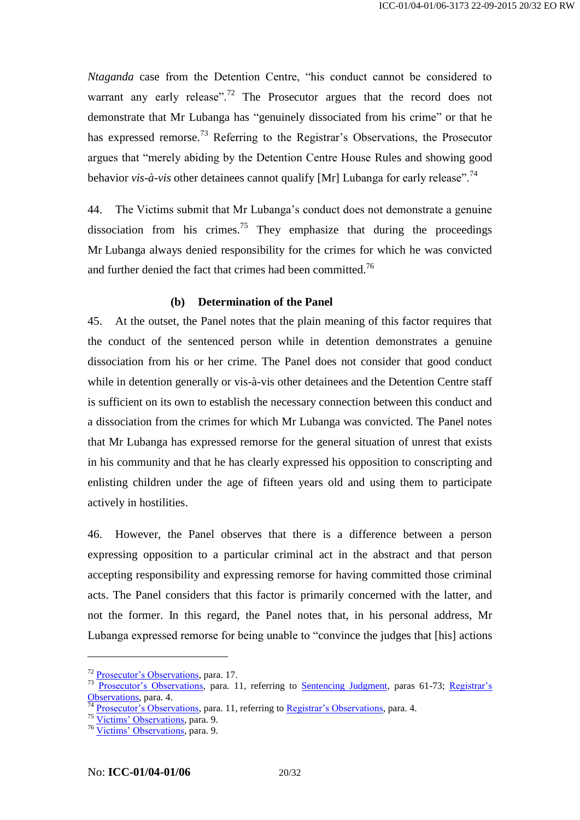*Ntaganda* case from the Detention Centre, "his conduct cannot be considered to warrant any early release".<sup>72</sup> The Prosecutor argues that the record does not demonstrate that Mr Lubanga has "genuinely dissociated from his crime" or that he has expressed remorse.<sup>73</sup> Referring to the Registrar's Observations, the Prosecutor argues that "merely abiding by the Detention Centre House Rules and showing good behavior *vis-à-vis* other detainees cannot qualify [Mr] Lubanga for early release".<sup>74</sup>

44. The Victims submit that Mr Lubanga's conduct does not demonstrate a genuine dissociation from his crimes.<sup>75</sup> They emphasize that during the proceedings Mr Lubanga always denied responsibility for the crimes for which he was convicted and further denied the fact that crimes had been committed.<sup>76</sup>

#### **(b) Determination of the Panel**

45. At the outset, the Panel notes that the plain meaning of this factor requires that the conduct of the sentenced person while in detention demonstrates a genuine dissociation from his or her crime. The Panel does not consider that good conduct while in detention generally or vis-à-vis other detainees and the Detention Centre staff is sufficient on its own to establish the necessary connection between this conduct and a dissociation from the crimes for which Mr Lubanga was convicted. The Panel notes that Mr Lubanga has expressed remorse for the general situation of unrest that exists in his community and that he has clearly expressed his opposition to conscripting and enlisting children under the age of fifteen years old and using them to participate actively in hostilities.

46. However, the Panel observes that there is a difference between a person expressing opposition to a particular criminal act in the abstract and that person accepting responsibility and expressing remorse for having committed those criminal acts. The Panel considers that this factor is primarily concerned with the latter, and not the former. In this regard, the Panel notes that, in his personal address, Mr Lubanga expressed remorse for being unable to "convince the judges that [his] actions

<sup>&</sup>lt;sup>72</sup> [Prosecutor's Observations,](http://www.legal-tools.org/doc/1840d8/) para. 17.

<sup>&</sup>lt;sup>73</sup> [Prosecutor's Observations,](http://www.legal-tools.org/doc/1840d8/) para. 11, referring to [Sentencing](http://www.legal-tools.org/doc/a9bd07/) Judgment, paras 61-73; Registrar's [Observations,](http://www.legal-tools.org/doc/833c21/) para. 4.

*TA* [Prosecutor's Observations,](http://www.legal-tools.org/doc/1840d8/) para. 11, referring to [Registrar's Observations,](http://www.legal-tools.org/doc/833c21/) para. 4.

<sup>75</sup> [Victims' Observations,](http://www.legal-tools.org/doc/ff5106/) para. 9.

<sup>76</sup> [Victims' Observations,](http://www.legal-tools.org/doc/ff5106/) para. 9.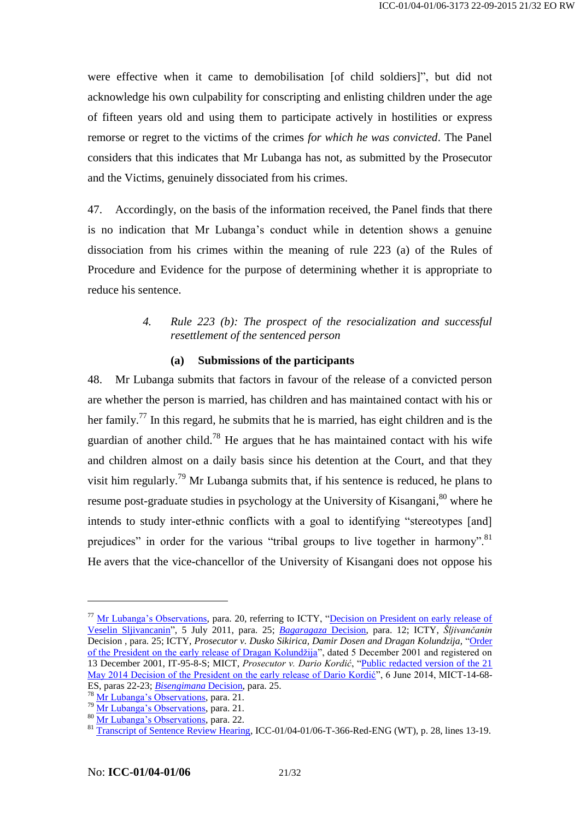were effective when it came to demobilisation [of child soldiers]", but did not acknowledge his own culpability for conscripting and enlisting children under the age of fifteen years old and using them to participate actively in hostilities or express remorse or regret to the victims of the crimes *for which he was convicted*. The Panel considers that this indicates that Mr Lubanga has not, as submitted by the Prosecutor and the Victims, genuinely dissociated from his crimes.

47. Accordingly, on the basis of the information received, the Panel finds that there is no indication that Mr Lubanga's conduct while in detention shows a genuine dissociation from his crimes within the meaning of rule 223 (a) of the Rules of Procedure and Evidence for the purpose of determining whether it is appropriate to reduce his sentence.

### *4. Rule 223 (b): The prospect of the resocialization and successful resettlement of the sentenced person*

#### **(a) Submissions of the participants**

48. Mr Lubanga submits that factors in favour of the release of a convicted person are whether the person is married, has children and has maintained contact with his or her family.<sup>77</sup> In this regard, he submits that he is married, has eight children and is the guardian of another child.<sup>78</sup> He argues that he has maintained contact with his wife and children almost on a daily basis since his detention at the Court, and that they visit him regularly.<sup>79</sup> Mr Lubanga submits that, if his sentence is reduced, he plans to resume post-graduate studies in psychology at the University of Kisangani,<sup>80</sup> where he intends to study inter-ethnic conflicts with a goal to identifying "stereotypes [and] prejudices" in order for the various "tribal groups to live together in harmony".<sup>81</sup> He avers that the vice-chancellor of the University of Kisangani does not oppose his

<sup>&</sup>lt;sup>77</sup> [Mr Lubanga's Observations,](https://www.legal-tools.org/doc/19bd41/) para. 20, referring to ICTY, "Decision on President on early release of [Veselin Sljivancanin"](http://www.legal-tools.org/doc/3f923e/), 5 July 2011, para. 25; *[Bagaragaza](http://www.legal-tools.org/doc/0719fb/)* Decision, para. 12; ICTY, *Šljivančanin*  Decision , para. 25; ICTY, *Prosecutor v. Dusko Sikirica, Damir Dosen and Dragan Kolundzija,* ["Order](https://www.legal-tools.org/doc/89df34/)  [of the President on the early release of Dragan Kolundžija"](https://www.legal-tools.org/doc/89df34/), dated 5 December 2001 and registered on 13 December 2001, IT-95-8-S; MICT, *Prosecutor v. Dario Kordić*, ["Public redacted version of the 21](http://www.legal-tools.org/doc/e93c0e/)  [May 2014 Decision of the President on the early release of Dario Kordić"](http://www.legal-tools.org/doc/e93c0e/), 6 June 2014, MICT-14-68-ES, paras 22-23; *[Bisengimana](https://www.legal-tools.org/doc/c9adfb/)* Decision, para. 25.

<sup>78</sup> [Mr Lubanga's Observations,](https://www.legal-tools.org/doc/19bd41/) para. 21.

<sup>&</sup>lt;sup>79</sup> [Mr Lubanga's Observations,](https://www.legal-tools.org/doc/19bd41/) para. 21.

<sup>80</sup> [Mr Lubanga's Observations,](https://www.legal-tools.org/doc/19bd41/) para. 22.

<sup>81</sup> [Transcript of Sentence Review Hearing,](http://www.legal-tools.org/doc/6fb6bc/) ICC-01/04-01/06-T-366-Red-ENG (WT), p. 28, lines 13-19.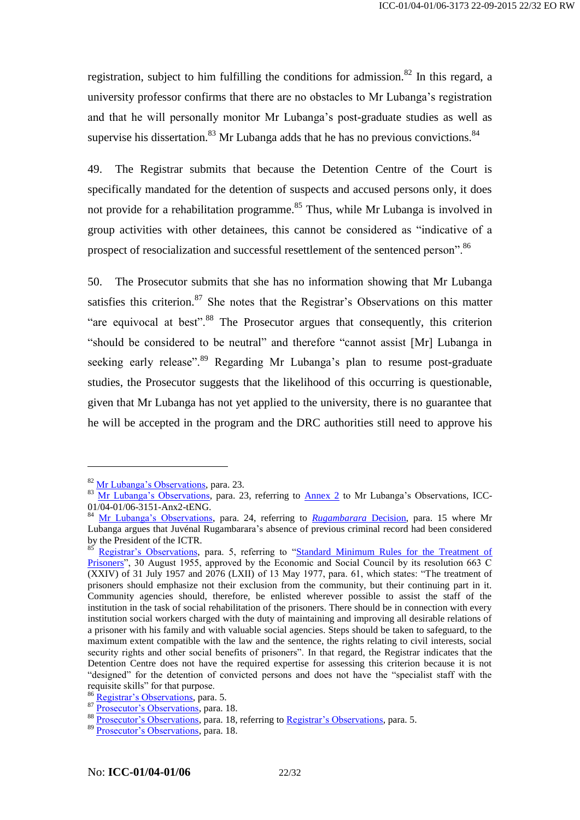registration, subject to him fulfilling the conditions for admission.<sup>82</sup> In this regard, a university professor confirms that there are no obstacles to Mr Lubanga's registration and that he will personally monitor Mr Lubanga's post-graduate studies as well as supervise his dissertation.<sup>83</sup> Mr Lubanga adds that he has no previous convictions.<sup>84</sup>

49. The Registrar submits that because the Detention Centre of the Court is specifically mandated for the detention of suspects and accused persons only, it does not provide for a rehabilitation programme.<sup>85</sup> Thus, while Mr Lubanga is involved in group activities with other detainees, this cannot be considered as "indicative of a prospect of resocialization and successful resettlement of the sentenced person".<sup>86</sup>

50. The Prosecutor submits that she has no information showing that Mr Lubanga satisfies this criterion.<sup>87</sup> She notes that the Registrar's Observations on this matter "are equivocal at best"<sup>88</sup>. The Prosecutor argues that consequently, this criterion "should be considered to be neutral" and therefore "cannot assist [Mr] Lubanga in seeking early release".<sup>89</sup> Regarding Mr Lubanga's plan to resume post-graduate studies, the Prosecutor suggests that the likelihood of this occurring is questionable, given that Mr Lubanga has not yet applied to the university, there is no guarantee that he will be accepted in the program and the DRC authorities still need to approve his

<sup>82</sup> [Mr Lubanga's Observations,](https://www.legal-tools.org/doc/19bd41/) para. 23.

<sup>&</sup>lt;sup>83</sup> [Mr Lubanga's Observations,](https://www.legal-tools.org/doc/19bd41/) para. 23, referring to [Annex 2](http://www.legal-tools.org/doc/e9c98a/) to Mr Lubanga's Observations, ICC-01/04-01/06-3151-Anx2-tENG.

<sup>84</sup> [Mr Lubanga's Observations,](https://www.legal-tools.org/doc/19bd41/) para. 24, referring to *[Rugambarara](http://www.legal-tools.org/doc/a7cfee/)* Decision, para. 15 where Mr Lubanga argues that Juvénal Rugambarara's absence of previous criminal record had been considered by the President of the ICTR.

<sup>&</sup>lt;sup>85</sup> [Registrar's Observations,](http://www.legal-tools.org/doc/833c21/) para. 5, referring to "Standard Minimum Rules for the Treatment of [Prisoners"](http://www.legal-tools.org/doc/1f2e43/), 30 August 1955, approved by the Economic and Social Council by its resolution 663 C (XXIV) of 31 July 1957 and 2076 (LXII) of 13 May 1977, para. 61, which states: "The treatment of prisoners should emphasize not their exclusion from the community, but their continuing part in it. Community agencies should, therefore, be enlisted wherever possible to assist the staff of the institution in the task of social rehabilitation of the prisoners. There should be in connection with every institution social workers charged with the duty of maintaining and improving all desirable relations of a prisoner with his family and with valuable social agencies. Steps should be taken to safeguard, to the maximum extent compatible with the law and the sentence, the rights relating to civil interests, social security rights and other social benefits of prisoners". In that regard, the Registrar indicates that the Detention Centre does not have the required expertise for assessing this criterion because it is not "designed" for the detention of convicted persons and does not have the "specialist staff with the requisite skills" for that purpose.

<sup>86</sup> [Registrar's Observations,](http://www.legal-tools.org/doc/833c21/) para. 5.

<sup>87</sup> [Prosecutor's Observations,](http://www.legal-tools.org/doc/1840d8/) para. 18.

<sup>&</sup>lt;sup>88</sup> [Prosecutor's Observations,](http://www.legal-tools.org/doc/1840d8/) para. 18, referring to [Registrar's Observations,](http://www.legal-tools.org/doc/833c21/) para. 5.

<sup>89</sup> [Prosecutor's Observations,](http://www.legal-tools.org/doc/1840d8/) para. 18.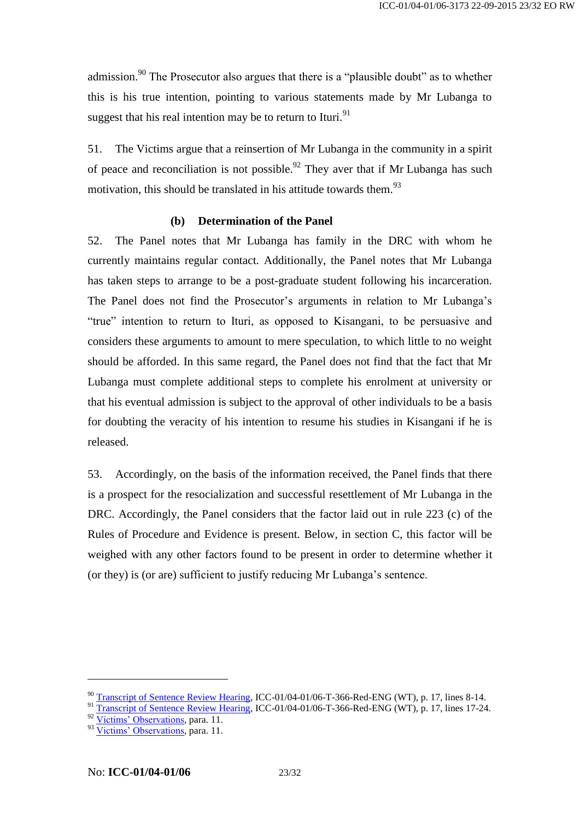admission.<sup>90</sup> The Prosecutor also argues that there is a "plausible doubt" as to whether this is his true intention, pointing to various statements made by Mr Lubanga to suggest that his real intention may be to return to Ituri.<sup>91</sup>

51. The Victims argue that a reinsertion of Mr Lubanga in the community in a spirit of peace and reconciliation is not possible. $92$  They aver that if Mr Lubanga has such motivation, this should be translated in his attitude towards them.<sup>93</sup>

#### **(b) Determination of the Panel**

52. The Panel notes that Mr Lubanga has family in the DRC with whom he currently maintains regular contact. Additionally, the Panel notes that Mr Lubanga has taken steps to arrange to be a post-graduate student following his incarceration. The Panel does not find the Prosecutor's arguments in relation to Mr Lubanga's "true" intention to return to Ituri, as opposed to Kisangani, to be persuasive and considers these arguments to amount to mere speculation, to which little to no weight should be afforded. In this same regard, the Panel does not find that the fact that Mr Lubanga must complete additional steps to complete his enrolment at university or that his eventual admission is subject to the approval of other individuals to be a basis for doubting the veracity of his intention to resume his studies in Kisangani if he is released.

<span id="page-22-0"></span>53. Accordingly, on the basis of the information received, the Panel finds that there is a prospect for the resocialization and successful resettlement of Mr Lubanga in the DRC. Accordingly, the Panel considers that the factor laid out in rule 223 (c) of the Rules of Procedure and Evidence is present. Below, in section [C,](#page-30-0) this factor will be weighed with any other factors found to be present in order to determine whether it (or they) is (or are) sufficient to justify reducing Mr Lubanga's sentence.

<sup>&</sup>lt;sup>90</sup> [Transcript of Sentence Review Hearing,](http://www.legal-tools.org/doc/6fb6bc/) ICC-01/04-01/06-T-366-Red-ENG (WT), p. 17, lines 8-14.

<sup>&</sup>lt;sup>91</sup> [Transcript of Sentence Review Hearing,](http://www.legal-tools.org/doc/6fb6bc/) ICC-01/04-01/06-T-366-Red-ENG (WT), p. 17, lines 17-24.

<sup>92</sup> [Victims' Observations,](http://www.legal-tools.org/doc/ff5106/) para. 11.

<sup>&</sup>lt;sup>93</sup> [Victims' Observations,](http://www.legal-tools.org/doc/ff5106/) para. 11.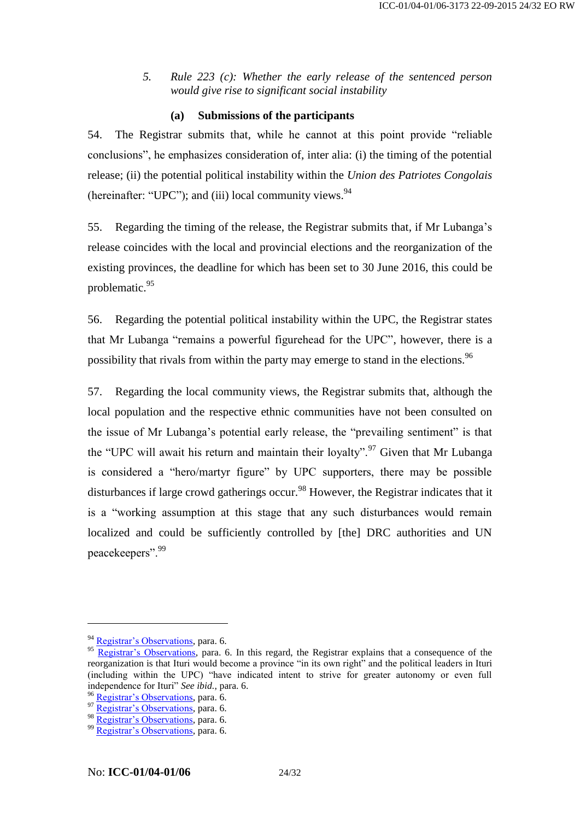*5. Rule 223 (c): Whether the early release of the sentenced person would give rise to significant social instability*

#### **(a) Submissions of the participants**

54. The Registrar submits that, while he cannot at this point provide "reliable conclusions", he emphasizes consideration of, inter alia: (i) the timing of the potential release; (ii) the potential political instability within the *Union des Patriotes Congolais* (hereinafter: "UPC"); and (iii) local community views.<sup>94</sup>

55. Regarding the timing of the release, the Registrar submits that, if Mr Lubanga's release coincides with the local and provincial elections and the reorganization of the existing provinces, the deadline for which has been set to 30 June 2016, this could be problematic.<sup>95</sup>

56. Regarding the potential political instability within the UPC, the Registrar states that Mr Lubanga "remains a powerful figurehead for the UPC", however, there is a possibility that rivals from within the party may emerge to stand in the elections.<sup>96</sup>

57. Regarding the local community views, the Registrar submits that, although the local population and the respective ethnic communities have not been consulted on the issue of Mr Lubanga's potential early release, the "prevailing sentiment" is that the "UPC will await his return and maintain their loyalty".<sup>97</sup> Given that Mr Lubanga is considered a "hero/martyr figure" by UPC supporters, there may be possible disturbances if large crowd gatherings occur.<sup>98</sup> However, the Registrar indicates that it is a "working assumption at this stage that any such disturbances would remain localized and could be sufficiently controlled by [the] DRC authorities and UN peacekeepers".<sup>99</sup>

<sup>&</sup>lt;sup>94</sup> [Registrar's Observations,](http://www.legal-tools.org/doc/833c21/) para. 6.

[Registrar's Observations,](http://www.legal-tools.org/doc/833c21/) para. 6. In this regard, the Registrar explains that a consequence of the reorganization is that Ituri would become a province "in its own right" and the political leaders in Ituri (including within the UPC) "have indicated intent to strive for greater autonomy or even full independence for Ituri" *See ibid.*, para. 6.

<sup>96</sup> [Registrar's Observations,](http://www.legal-tools.org/doc/833c21/) para. 6.

<sup>97</sup> [Registrar's Observations,](http://www.legal-tools.org/doc/833c21/) para. 6.

<sup>98</sup> [Registrar's Observations,](http://www.legal-tools.org/doc/833c21/) para. 6.

<sup>99</sup> [Registrar's Observations,](http://www.legal-tools.org/doc/833c21/) para. 6.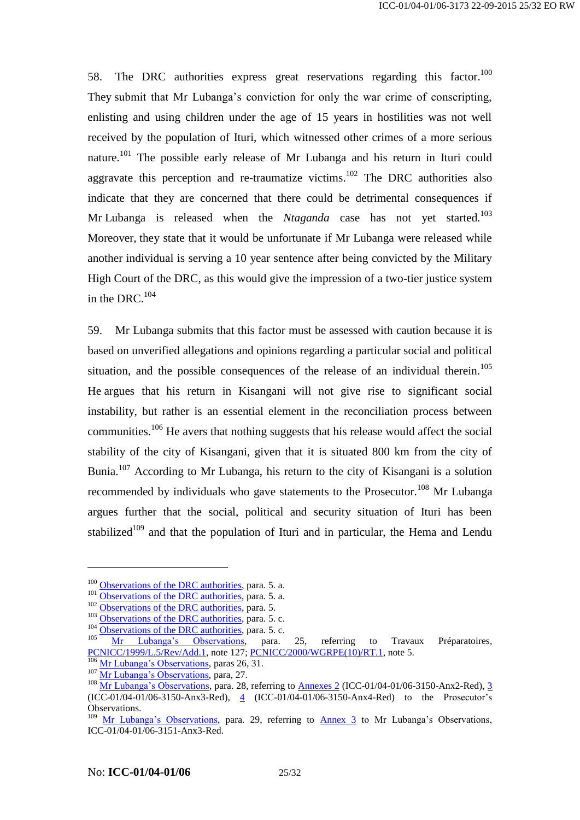58. The DRC authorities express great reservations regarding this factor.<sup>100</sup> They submit that Mr Lubanga's conviction for only the war crime of conscripting, enlisting and using children under the age of 15 years in hostilities was not well received by the population of Ituri, which witnessed other crimes of a more serious nature.<sup>101</sup> The possible early release of Mr Lubanga and his return in Ituri could aggravate this perception and re-traumatize victims.<sup>102</sup> The DRC authorities also indicate that they are concerned that there could be detrimental consequences if Mr Lubanga is released when the *Ntaganda* case has not yet started.<sup>103</sup> Moreover, they state that it would be unfortunate if Mr Lubanga were released while another individual is serving a 10 year sentence after being convicted by the Military High Court of the DRC, as this would give the impression of a two-tier justice system in the DRC.<sup>104</sup>

59. Mr Lubanga submits that this factor must be assessed with caution because it is based on unverified allegations and opinions regarding a particular social and political situation, and the possible consequences of the release of an individual therein.<sup>105</sup> He argues that his return in Kisangani will not give rise to significant social instability, but rather is an essential element in the reconciliation process between communities.<sup>106</sup> He avers that nothing suggests that his release would affect the social stability of the city of Kisangani, given that it is situated 800 km from the city of Bunia.<sup>107</sup> According to Mr Lubanga, his return to the city of Kisangani is a solution recommended by individuals who gave statements to the Prosecutor.<sup>108</sup> Mr Lubanga argues further that the social, political and security situation of Ituri has been stabilized<sup>109</sup> and that the population of Ituri and in particular, the Hema and Lendu

<sup>&</sup>lt;sup>100</sup> [Observations of the DRC authorities,](http://www.legal-tools.org/doc/f31958/) para. 5. a.

<sup>&</sup>lt;sup>101</sup> [Observations of the DRC authorities,](http://www.legal-tools.org/doc/f31958/) para. 5. a.

<sup>&</sup>lt;sup>102</sup> [Observations of the DRC authorities,](http://www.legal-tools.org/doc/f31958/) para. 5.

<sup>&</sup>lt;sup>103</sup> Observations [of the DRC authorities,](http://www.legal-tools.org/doc/f31958/) para. 5. c.

<sup>104 &</sup>lt;u>Observations of the DRC authorities</u>, para. 5. c.<br><sup>104</sup> [Observations of the DRC authorities,](http://www.legal-tools.org/doc/f31958/) para. 5. c.

<sup>&</sup>lt;sup>105</sup> [Mr Lubanga's Observations,](https://www.legal-tools.org/doc/19bd41/) para. 25, referring to Travaux Préparatoires, [PCNICC/1999/L.5/Rev/Add.1,](https://www.legal-tools.org/doc/00e9f7/) note 127[; PCNICC/2000/WGRPE\(10\)/RT.1,](https://www.legal-tools.org/doc/dc654c/) note 5.

[Mr Lubanga's Observations,](https://www.legal-tools.org/doc/19bd41/) paras  $26$ ,  $31$ .

<sup>107</sup> [Mr Lubanga's Observations,](https://www.legal-tools.org/doc/19bd41/) para, 27.

<sup>&</sup>lt;sup>108</sup> [Mr Lubanga's Observations,](https://www.legal-tools.org/doc/19bd41/) para. 28, referring to **Annexes 2** (ICC-01/04-01/06-3150-Anx2-Red), [3](http://www.legal-tools.org/doc/45abc4/) (ICC-01/04-01/06-3150-Anx3-Red), [4](http://www.legal-tools.org/doc/620923/) (ICC-01/04-01/06-3150-Anx4-Red) to the [Prosecutor's](http://edms2/webdrawer/webdrawer.dll/webdrawer/rec/2015536/view/Prosecution’s%20submissions%20regarding%20Thomas%20Lubanga%20Dyilo’s%20sentence%20review.PDF)  [Observations.](http://edms2/webdrawer/webdrawer.dll/webdrawer/rec/2015536/view/Prosecution’s%20submissions%20regarding%20Thomas%20Lubanga%20Dyilo’s%20sentence%20review.PDF)

<sup>&</sup>lt;sup>109</sup> [Mr Lubanga's Observations,](https://www.legal-tools.org/doc/19bd41/) para. 29, referring to **[Annex 3](http://www.legal-tools.org/doc/6f0c72/)** to Mr Lubanga's Observations, ICC-01/04-01/06-3151-Anx3-Red.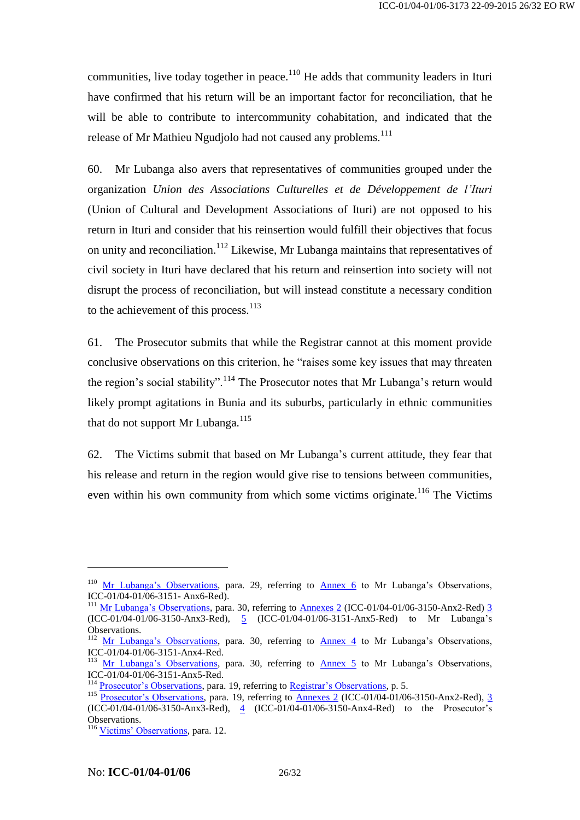communities, live today together in peace. $110$  He adds that community leaders in Ituri have confirmed that his return will be an important factor for reconciliation, that he will be able to contribute to intercommunity cohabitation, and indicated that the release of Mr Mathieu Ngudjolo had not caused any problems.<sup>111</sup>

60. Mr Lubanga also avers that representatives of communities grouped under the organization *Union des Associations Culturelles et de Développement de l'Ituri* (Union of Cultural and Development Associations of Ituri) are not opposed to his return in Ituri and consider that his reinsertion would fulfill their objectives that focus on unity and reconciliation.<sup>112</sup> Likewise, Mr Lubanga maintains that representatives of civil society in Ituri have declared that his return and reinsertion into society will not disrupt the process of reconciliation, but will instead constitute a necessary condition to the achievement of this process. $113$ 

61. The Prosecutor submits that while the Registrar cannot at this moment provide conclusive observations on this criterion, he "raises some key issues that may threaten the region's social stability".<sup>114</sup> The Prosecutor notes that Mr Lubanga's return would likely prompt agitations in Bunia and its suburbs, particularly in ethnic communities that do not support Mr Lubanga.<sup>115</sup>

62. The Victims submit that based on Mr Lubanga's current attitude, they fear that his release and return in the region would give rise to tensions between communities, even within his own community from which some victims originate.<sup>116</sup> The Victims

<sup>&</sup>lt;sup>110</sup> [Mr Lubanga's Observations,](https://www.legal-tools.org/doc/19bd41/) para. 29, referring to **[Annex 6](http://www.legal-tools.org/doc/b60bb6/)** to Mr Lubanga's Observations,  $ICC-01/04-01/06-3151-Ans6-Red$ .

<sup>&</sup>lt;sup>111</sup> [Mr Lubanga's Observations,](https://www.legal-tools.org/doc/19bd41/) para. 30, referring to [Annexes 2](http://www.legal-tools.org/doc/58acb0/) (ICC-01/04-01/06-3150-Anx2-Red) [3](http://www.legal-tools.org/doc/6f0c72/) (ICC-01/04-01/06-3150-Anx3-Red), [5](http://www.legal-tools.org/doc/e2eaa3/) (ICC-01/04-01/06-3151-Anx5-Red) to Mr Lubanga's Observations.

<sup>&</sup>lt;sup>112</sup> [Mr Lubanga's Observations,](https://www.legal-tools.org/doc/19bd41/) para. 30, referring to  $\frac{\text{Annex}}{\text{Annex}}$  4 to Mr Lubanga's Observations, ICC-01/04-01/06-3151-Anx4-Red.

<sup>&</sup>lt;sup>113</sup> [Mr Lubanga's Observations,](https://www.legal-tools.org/doc/19bd41/) para. 30, referring to **[Annex 5](http://www.legal-tools.org/doc/e2eaa3/)** to Mr Lubanga's Observations, ICC-01/04-01/06-3151-Anx5-Red.

<sup>&</sup>lt;sup>114</sup> [Prosecutor's Observations,](http://www.legal-tools.org/doc/1840d8/) para. 19, referring to [Registrar's Observations,](http://www.legal-tools.org/doc/833c21/) p. 5.

<sup>&</sup>lt;sup>115</sup> [Prosecutor's Observations,](http://www.legal-tools.org/doc/1840d8/) para. 19, referring to [Annexes 2](http://www.legal-tools.org/doc/58acb0/) (ICC-01/04-01/06-3150-Anx2-Red), [3](http://www.legal-tools.org/doc/45abc4/) (ICC-01/04-01/06-3150-Anx3-Red), [4](http://www.legal-tools.org/doc/620923/) (ICC-01/04-01/06-3150-Anx4-Red) to the Prosecutor's Observations.

<sup>&</sup>lt;sup>116</sup> [Victims' Observations,](http://www.legal-tools.org/doc/ff5106/) para. 12.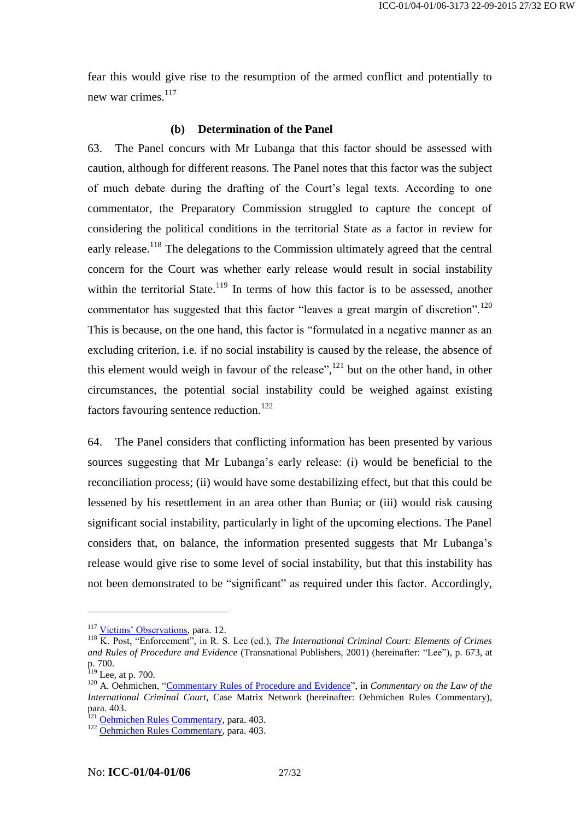fear this would give rise to the resumption of the armed conflict and potentially to new war crimes. $117$ 

#### **(b) Determination of the Panel**

63. The Panel concurs with Mr Lubanga that this factor should be assessed with caution, although for different reasons. The Panel notes that this factor was the subject of much debate during the drafting of the Court's legal texts. According to one commentator, the Preparatory Commission struggled to capture the concept of considering the political conditions in the territorial State as a factor in review for early release.<sup>118</sup> The delegations to the Commission ultimately agreed that the central concern for the Court was whether early release would result in social instability within the territorial State.<sup>119</sup> In terms of how this factor is to be assessed, another commentator has suggested that this factor "leaves a great margin of discretion".<sup>120</sup> This is because, on the one hand, this factor is "formulated in a negative manner as an excluding criterion, i.e. if no social instability is caused by the release, the absence of this element would weigh in favour of the release",  $^{121}$  but on the other hand, in other circumstances, the potential social instability could be weighed against existing factors favouring sentence reduction.<sup>122</sup>

64. The Panel considers that conflicting information has been presented by various sources suggesting that Mr Lubanga's early release: (i) would be beneficial to the reconciliation process; (ii) would have some destabilizing effect, but that this could be lessened by his resettlement in an area other than Bunia; or (iii) would risk causing significant social instability, particularly in light of the upcoming elections. The Panel considers that, on balance, the information presented suggests that Mr Lubanga's release would give rise to some level of social instability, but that this instability has not been demonstrated to be "significant" as required under this factor. Accordingly,

<sup>&</sup>lt;sup>117</sup> [Victims' Observations,](http://www.legal-tools.org/doc/ff5106/) para. 12.

<sup>118</sup> K. Post, "Enforcement", in R. S. Lee (ed.), *The International Criminal Court: Elements of Crimes and Rules of Procedure and Evidence* (Transnational Publishers, 2001) (hereinafter: "Lee"), p. 673, at p. 700.

 $119$  Lee, at p. 700.

<sup>&</sup>lt;sup>120</sup> A. Oehmichen, "Commentary Rules of Pr<u>ocedure and Evidence</u>", in *Commentary on the Law of the International Criminal Court*, Case Matrix Network (hereinafter: Oehmichen Rules Commentary), para. 403.

<sup>&</sup>lt;sup>121</sup> [Oehmichen Rules Commentary,](http://www.casematrixnetwork.org/cmn-knowledge-hub/icc-commentary-clicc/commentary-rules-of-procedure-and-evidence/#c3215) para. 403.

<sup>122</sup> Oehmichen [Rules Commentary,](http://www.casematrixnetwork.org/cmn-knowledge-hub/icc-commentary-clicc/commentary-rules-of-procedure-and-evidence/#c3215) para. 403.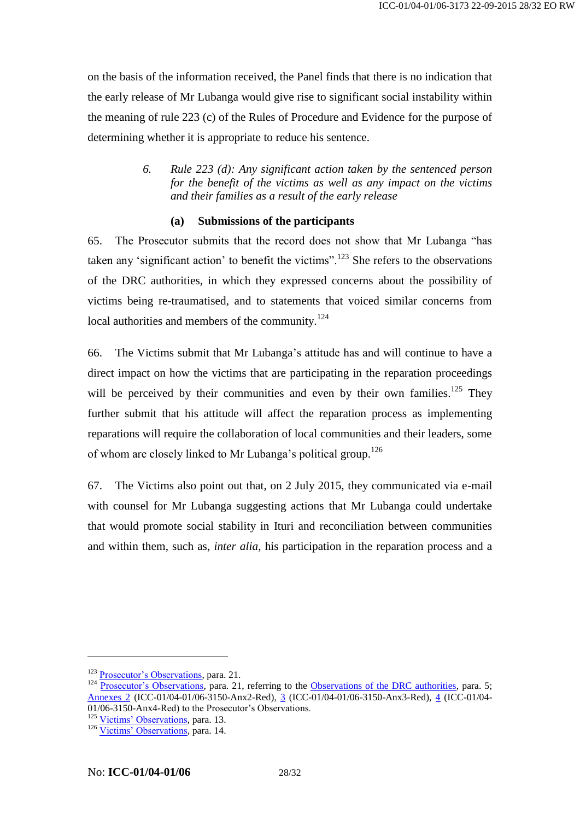on the basis of the information received, the Panel finds that there is no indication that the early release of Mr Lubanga would give rise to significant social instability within the meaning of rule 223 (c) of the Rules of Procedure and Evidence for the purpose of determining whether it is appropriate to reduce his sentence.

> *6. Rule 223 (d): Any significant action taken by the sentenced person for the benefit of the victims as well as any impact on the victims and their families as a result of the early release*

#### **(a) Submissions of the participants**

65. The Prosecutor submits that the record does not show that Mr Lubanga "has taken any 'significant action' to benefit the victims".<sup>123</sup> She refers to the observations of the DRC authorities, in which they expressed concerns about the possibility of victims being re-traumatised, and to statements that voiced similar concerns from local authorities and members of the community.<sup>124</sup>

66. The Victims submit that Mr Lubanga's attitude has and will continue to have a direct impact on how the victims that are participating in the reparation proceedings will be perceived by their communities and even by their own families.<sup>125</sup> They further submit that his attitude will affect the reparation process as implementing reparations will require the collaboration of local communities and their leaders, some of whom are closely linked to Mr Lubanga's political group.<sup>126</sup>

67. The Victims also point out that, on 2 July 2015, they communicated via e-mail with counsel for Mr Lubanga suggesting actions that Mr Lubanga could undertake that would promote social stability in Ituri and reconciliation between communities and within them, such as, *inter alia*, his participation in the reparation process and a

<sup>&</sup>lt;sup>123</sup> [Prosecutor's Observations,](http://www.legal-tools.org/doc/1840d8/) para. 21.

<sup>&</sup>lt;sup>124</sup> [Prosecutor's Observations,](http://www.legal-tools.org/doc/1840d8/) para. 21, referring to the [Observations of the DRC authorities,](http://www.legal-tools.org/doc/f31958/) para. 5; [Annexes 2](http://www.legal-tools.org/doc/58acb0/) (ICC-01/04-01/06-3150-Anx2-Red), [3](http://www.legal-tools.org/doc/45abc4/) (ICC-01/04-01/06-3150-Anx3-Red), [4](http://www.legal-tools.org/doc/620923/) (ICC-01/04- 01/06-3150-Anx4-Red) to the Prosecutor's Observations.

<sup>&</sup>lt;sup>125</sup> [Victims' Observations,](http://www.legal-tools.org/doc/ff5106/) para. 13.

<sup>126</sup> [Victims' Observations,](http://www.legal-tools.org/doc/ff5106/) para. 14.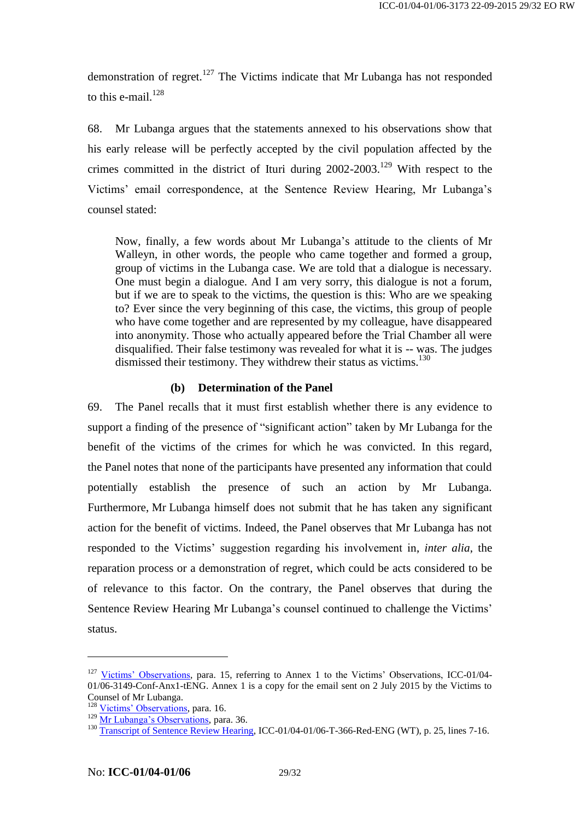demonstration of regret.<sup>127</sup> The Victims indicate that Mr Lubanga has not responded to this e-mail. $128$ 

68. Mr Lubanga argues that the statements annexed to his observations show that his early release will be perfectly accepted by the civil population affected by the crimes committed in the district of Ituri during  $2002-2003$ .<sup>129</sup> With respect to the Victims' email correspondence, at the Sentence Review Hearing, Mr Lubanga's counsel stated:

Now, finally, a few words about Mr Lubanga's attitude to the clients of Mr Walleyn, in other words, the people who came together and formed a group, group of victims in the Lubanga case. We are told that a dialogue is necessary. One must begin a dialogue. And I am very sorry, this dialogue is not a forum, but if we are to speak to the victims, the question is this: Who are we speaking to? Ever since the very beginning of this case, the victims, this group of people who have come together and are represented by my colleague, have disappeared into anonymity. Those who actually appeared before the Trial Chamber all were disqualified. Their false testimony was revealed for what it is -- was. The judges dismissed their testimony. They withdrew their status as victims.<sup>130</sup>

#### **(b) Determination of the Panel**

69. The Panel recalls that it must first establish whether there is any evidence to support a finding of the presence of "significant action" taken by Mr Lubanga for the benefit of the victims of the crimes for which he was convicted. In this regard, the Panel notes that none of the participants have presented any information that could potentially establish the presence of such an action by Mr Lubanga. Furthermore, Mr Lubanga himself does not submit that he has taken any significant action for the benefit of victims. Indeed, the Panel observes that Mr Lubanga has not responded to the Victims' suggestion regarding his involvement in, *inter alia*, the reparation process or a demonstration of regret, which could be acts considered to be of relevance to this factor. On the contrary, the Panel observes that during the Sentence Review Hearing Mr Lubanga's counsel continued to challenge the Victims' status.

<sup>&</sup>lt;sup>127</sup> [Victims' Observations,](http://www.legal-tools.org/doc/ff5106/) para. 15, referring to Annex 1 to the Victims' Observations, ICC-01/04-01/06-3149-Conf-Anx1-tENG. Annex 1 is a copy for the email sent on 2 July 2015 by the Victims to Counsel of Mr Lubanga.

<sup>&</sup>lt;sup>128</sup> [Victims' Observations,](http://www.legal-tools.org/doc/ff5106/) para. 16.

<sup>&</sup>lt;sup>129</sup> [Mr Lubanga's Observations,](https://www.legal-tools.org/doc/19bd41/) para. 36.

<sup>&</sup>lt;sup>130</sup> Transcript of Sentence Review Hea<u>ring</u>, ICC-01/04-01/06-T-366-Red-ENG (WT), p. 25, lines 7-16.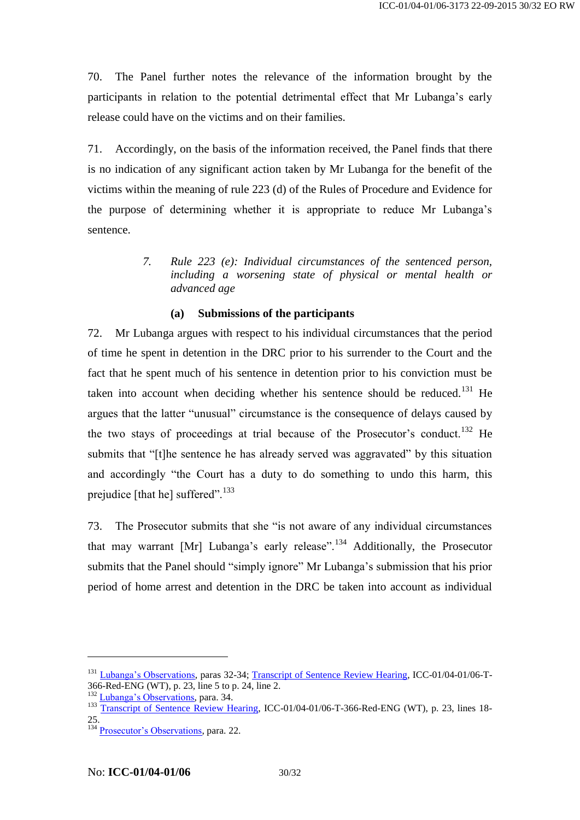70. The Panel further notes the relevance of the information brought by the participants in relation to the potential detrimental effect that Mr Lubanga's early release could have on the victims and on their families.

71. Accordingly, on the basis of the information received, the Panel finds that there is no indication of any significant action taken by Mr Lubanga for the benefit of the victims within the meaning of rule 223 (d) of the Rules of Procedure and Evidence for the purpose of determining whether it is appropriate to reduce Mr Lubanga's sentence.

> *7. Rule 223 (e): Individual circumstances of the sentenced person, including a worsening state of physical or mental health or advanced age*

### **(a) Submissions of the participants**

72. Mr Lubanga argues with respect to his individual circumstances that the period of time he spent in detention in the DRC prior to his surrender to the Court and the fact that he spent much of his sentence in detention prior to his conviction must be taken into account when deciding whether his sentence should be reduced.<sup>131</sup> He argues that the latter "unusual" circumstance is the consequence of delays caused by the two stays of proceedings at trial because of the Prosecutor's conduct.<sup>132</sup> He submits that "[t]he sentence he has already served was aggravated" by this situation and accordingly "the Court has a duty to do something to undo this harm, this prejudice [that he] suffered".<sup>133</sup>

73. The Prosecutor submits that she "is not aware of any individual circumstances that may warrant [Mr] Lubanga's early release".<sup>134</sup> Additionally, the Prosecutor submits that the Panel should "simply ignore" Mr Lubanga's submission that his prior period of home arrest and detention in the DRC be taken into account as individual

<sup>&</sup>lt;sup>131</sup> [Lubanga's Observations,](http://edms.icc.int/webdrawer/webdrawer.dll/webdrawer/rec/2026636/) paras 32-34; [Transcript of Sentence Review Hearing,](http://www.legal-tools.org/doc/6fb6bc/) ICC-01/04-01/06-T-366-Red-ENG (WT), p. 23, line 5 to p. 24, line 2.

<sup>&</sup>lt;sup>132</sup> [Lubanga's Observations,](http://edms.icc.int/webdrawer/webdrawer.dll/webdrawer/rec/2026636/) para. 34.

<sup>&</sup>lt;sup>133</sup> [Transcript of Sentence Review Hearing,](http://www.legal-tools.org/doc/6fb6bc/) ICC-01/04-01/06-T-366-Red-ENG (WT), p. 23, lines 18-25.

 $134$  [Prosecutor's Observations,](http://www.legal-tools.org/doc/1840d8/) para. 22.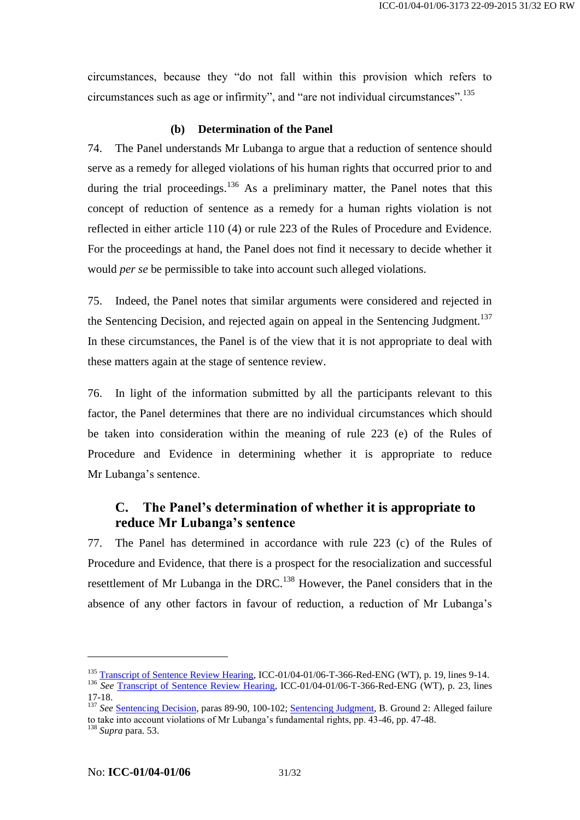circumstances, because they "do not fall within this provision which refers to circumstances such as age or infirmity", and "are not individual circumstances".<sup>135</sup>

#### **(b) Determination of the Panel**

74. The Panel understands Mr Lubanga to argue that a reduction of sentence should serve as a remedy for alleged violations of his human rights that occurred prior to and during the trial proceedings.<sup>136</sup> As a preliminary matter, the Panel notes that this concept of reduction of sentence as a remedy for a human rights violation is not reflected in either article 110 (4) or rule 223 of the Rules of Procedure and Evidence. For the proceedings at hand, the Panel does not find it necessary to decide whether it would *per se* be permissible to take into account such alleged violations.

75. Indeed, the Panel notes that similar arguments were considered and rejected in the Sentencing Decision, and rejected again on appeal in the Sentencing Judgment.<sup>137</sup> In these circumstances, the Panel is of the view that it is not appropriate to deal with these matters again at the stage of sentence review.

76. In light of the information submitted by all the participants relevant to this factor, the Panel determines that there are no individual circumstances which should be taken into consideration within the meaning of rule 223 (e) of the Rules of Procedure and Evidence in determining whether it is appropriate to reduce Mr Lubanga's sentence.

# <span id="page-30-0"></span>**C. The Panel's determination of whether it is appropriate to reduce Mr Lubanga's sentence**

77. The Panel has determined in accordance with rule 223 (c) of the Rules of Procedure and Evidence, that there is a prospect for the resocialization and successful resettlement of Mr Lubanga in the DRC.<sup>138</sup> However, the Panel considers that in the absence of any other factors in favour of reduction, a reduction of Mr Lubanga's

<sup>&</sup>lt;sup>135</sup> [Transcript of Sentence Review Hearing,](http://www.legal-tools.org/doc/6fb6bc/) ICC-01/04-01/06-T-366-Red-ENG (WT), p. 19, lines 9-14.

<sup>136</sup> *See* [Transcript of Sentence Review Hearing,](http://www.legal-tools.org/doc/6fb6bc/) ICC-01/04-01/06-T-366-Red-ENG (WT), p. 23, lines 17-18.

<sup>&</sup>lt;sup>137</sup> See <u>Sentencing Decision</u>, paras 89-90, 100-102; <u>Sentencing Judgment</u>, B. Ground 2: Alleged failure to take into account violations of Mr Lubanga's fundamental rights, pp. 43-46, pp. 47-48. <sup>138</sup> *Supra* para. [53.](#page-22-0)